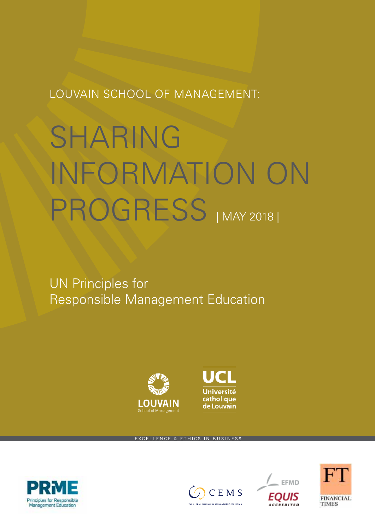Louvain School of Management:

# SHARING Information on PROGRESS | MAY 2018 |

UN Principles for Responsible Management Education











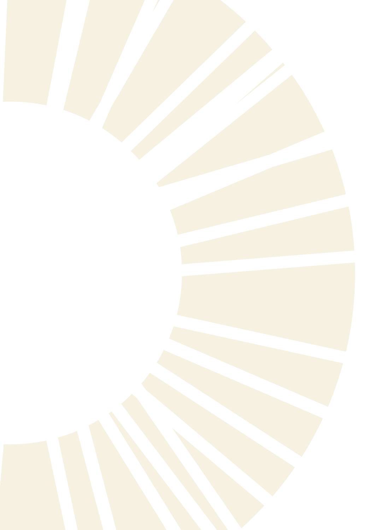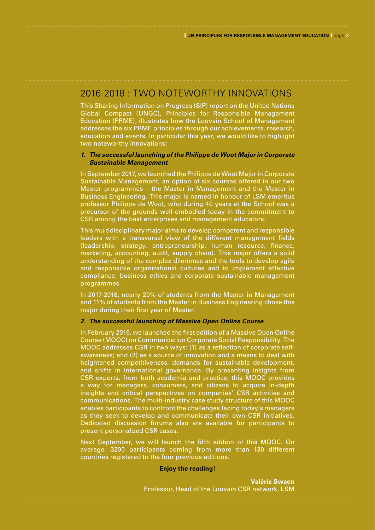# 2016-2018 : two noteworthy innovations

This Sharing Information on Progress (SIP) report on the United Nations Global Compact (UNGC), Principles for Responsible Management Education (PRME), illustrates how the Louvain School of Management addresses the six PRME principles through our achievements, research, education and events. In particular this year, we would like to highlight two noteworthy innovations:

#### *1. The successful launching of the Philippe de Woot Major in Corporate Sustainable Management*

In September 2017, we launched the Philippe de Woot Major in Corporate Sustainable Management, an option of six courses offered in our two Master programmes – the Master in Management and the Master in Business Engineering. This major is named in honour of LSM emeritus professor Philippe de Woot, who during 40 years at the School was a precursor of the grounds well embodied today in the commitment to CSR among the best enterprises and management educators.

This multidisciplinary major aims to develop competent and responsible leaders with a transversal view of the different management fields (leadership, strategy, entrepreneurship, human resource, finance, marketing, accounting, audit, supply chain). This major offers a solid understanding of the complex dilemmas and the tools to develop agile and responsible organizational cultures and to implement effective compliance, business ethics and corporate sustainable management programmes.

In 2017-2018, nearly 20% of students from the Master in Management and 11% of students from the Master in Business Engineering chose this major during their first year of Master.

#### *2. The successful launching of Massive Open Online Course*

In February 2016, we launched the first edition of a Massive Open Online Course (MOOC) on Communication Corporate Social Responsibility. The MOOC addresses CSR in two ways: (1) as a reflection of corporate selfawareness; and (2) as a source of innovation and a means to deal with heightened competitiveness, demands for sustainable development, and shifts in international governance. By presenting insights from CSR experts, from both academia and practice, this MOOC provides a way for managers, consumers, and citizens to acquire in-depth insights and critical perspectives on companies' CSR activities and communications. The multi-industry case study structure of this MOOC enables participants to confront the challenges facing today's managers as they seek to develop and communicate their own CSR initiatives. Dedicated discussion forums also are available for participants to present personalized CSR cases.

Next September, we will launch the fifth edition of this MOOC. On average, 3200 participants coming from more than 130 different countries registered to the four previous editions.

#### **Enjoy the reading!**

**Valérie Swaen** Professor, Head of the Louvain CSR network, LSM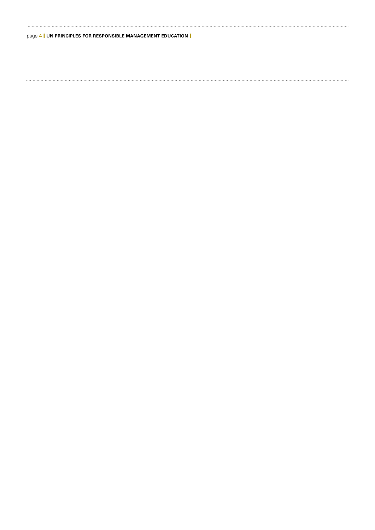page 4 **I UN Principles for Responsible Management education I**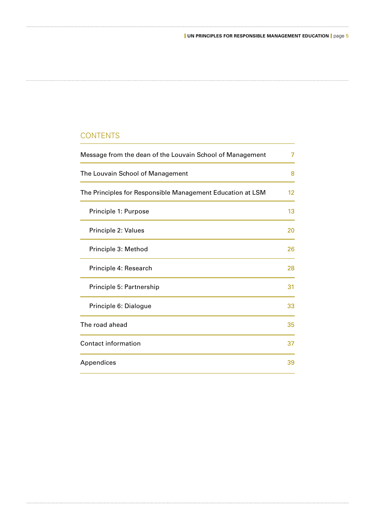# **CONTENTS**

| Message from the dean of the Louvain School of Management  | 7  |
|------------------------------------------------------------|----|
| The Louvain School of Management                           | 8  |
| The Principles for Responsible Management Education at LSM | 12 |
| Principle 1: Purpose                                       | 13 |
| Principle 2: Values                                        | 20 |
| Principle 3: Method                                        | 26 |
| Principle 4: Research                                      | 28 |
| Principle 5: Partnership                                   | 31 |
| Principle 6: Dialogue                                      | 33 |
| The road ahead                                             | 35 |
| <b>Contact information</b>                                 | 37 |
| Appendices                                                 | 39 |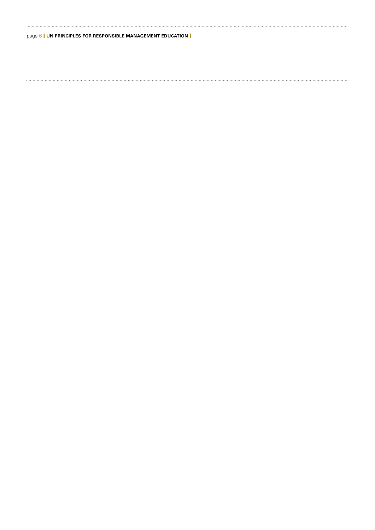page 6 **I UN Principles for Responsible Management education I**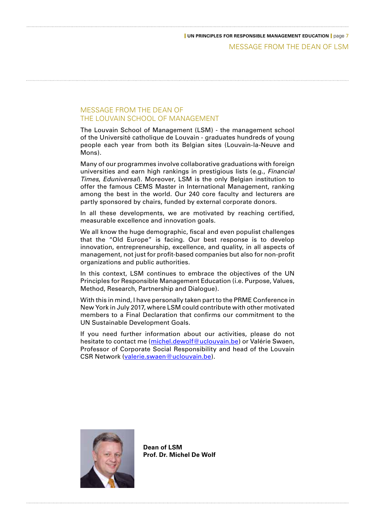#### Message from the Dean of the Louvain School of Management

The Louvain School of Management (LSM) - the management school of the Université catholique de Louvain - graduates hundreds of young people each year from both its Belgian sites (Louvain-la-Neuve and Mons).

Many of our programmes involve collaborative graduations with foreign universities and earn high rankings in prestigious lists (e.g., *Financial Times*, *Eduniversal*). Moreover, LSM is the only Belgian institution to offer the famous CEMS Master in International Management, ranking among the best in the world. Our 240 core faculty and lecturers are partly sponsored by chairs, funded by external corporate donors.

In all these developments, we are motivated by reaching certified, measurable excellence and innovation goals.

We all know the huge demographic, fiscal and even populist challenges that the "Old Europe" is facing. Our best response is to develop innovation, entrepreneurship, excellence, and quality, in all aspects of management, not just for profit-based companies but also for non-profit organizations and public authorities.

In this context, LSM continues to embrace the objectives of the UN Principles for Responsible Management Education (i.e. Purpose, Values, Method, Research, Partnership and Dialogue).

With this in mind, I have personally taken part to the PRME Conference in New York in July 2017, where LSM could contribute with other motivated members to a Final Declaration that confirms our commitment to the UN Sustainable Development Goals.

If you need further information about our activities, please do not hesitate to contact me (michel.dewolf@uclouvain.be) or Valérie Swaen, Professor of Corporate Social Responsibility and head of the Louvain CSR Network (valerie.swaen@uclouvain.be).



**Dean of LSM Prof. Dr. Michel De Wolf**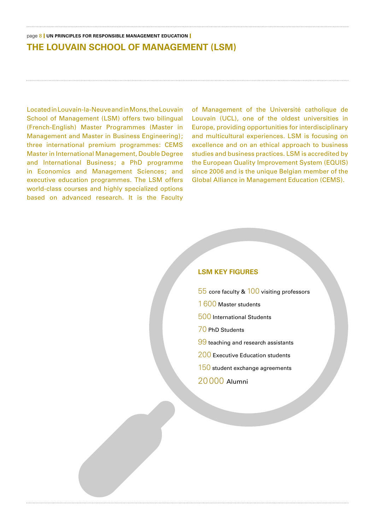# page 8 **I UN Principles for Responsible Management education I The Louvain School of Management (LSM)**

Located in Louvain-la-Neuve and in Mons, the Louvain School of Management (LSM) offers two bilingual (French-English) Master Programmes (Master in Management and Master in Business Engineering); three international premium programmes: CEMS Master in International Management, Double Degree and International Business; a PhD programme in Economics and Management Sciences; and executive education programmes. The LSM offers world-class courses and highly specialized options based on advanced research. It is the Faculty

of Management of the Université catholique de Louvain (UCL), one of the oldest universities in Europe, providing opportunities for interdisciplinary and multicultural experiences. LSM is focusing on excellence and on an ethical approach to business studies and business practices. LSM is accredited by the European Quality Improvement System (EQUIS) since 2006 and is the unique Belgian member of the Global Alliance in Management Education (CEMS).

#### **LSM Key figures**

- 55 core faculty & 100 visiting professors
- 1600 Master students
- 500 International Students
- 70 PhD Students
- **99** teaching and research assistants
- 200 Executive Education students
- 150 student exchange agreements
- 20000 Alumni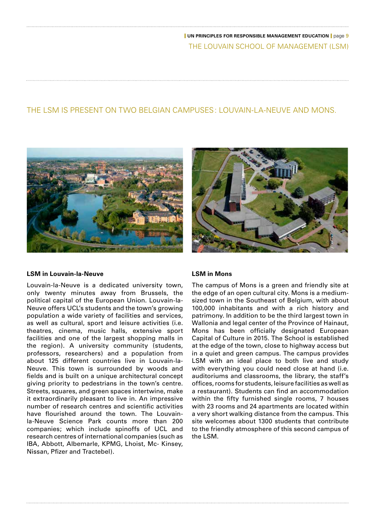**I UN Principles for Responsible Management education I** page 9 The Louvain School of Management (LSM)

# The LSM is present on two Belgian campuses : Louvain-la-Neuve and Mons.



#### **LSM in Louvain-la-Neuve**

Louvain-la-Neuve is a dedicated university town, only twenty minutes away from Brussels, the political capital of the European Union. Louvain-la-Neuve offers UCL's students and the town's growing population a wide variety of facilities and services, as well as cultural, sport and leisure activities (i.e. theatres, cinema, music halls, extensive sport facilities and one of the largest shopping malls in the region). A university community (students, professors, researchers) and a population from about 125 different countries live in Louvain-la-Neuve. This town is surrounded by woods and fields and is built on a unique architectural concept giving priority to pedestrians in the town's centre. Streets, squares, and green spaces intertwine, make it extraordinarily pleasant to live in. An impressive number of research centres and scientific activities have flourished around the town. The Louvainla-Neuve Science Park counts more than 200 companies; which include spinoffs of UCL and research centres of international companies (such as IBA, Abbott, Albemarle, KPMG, Lhoist, Mc- Kinsey, Nissan, Pfizer and Tractebel).

#### **LSM in Mons**

The campus of Mons is a green and friendly site at the edge of an open cultural city. Mons is a mediumsized town in the Southeast of Belgium, with about 100,000 inhabitants and with a rich history and patrimony. In addition to be the third largest town in Wallonia and legal center of the Province of Hainaut, Mons has been officially designated European Capital of Culture in 2015. The School is established at the edge of the town, close to highway access but in a quiet and green campus. The campus provides LSM with an ideal place to both live and study with everything you could need close at hand (i.e. auditoriums and classrooms, the library, the staff's offices, rooms for students, leisure facilities as well as a restaurant). Students can find an accommodation within the fifty furnished single rooms, 7 houses with 23 rooms and 24 apartments are located within a very short walking distance from the campus. This site welcomes about 1300 students that contribute to the friendly atmosphere of this second campus of the LSM.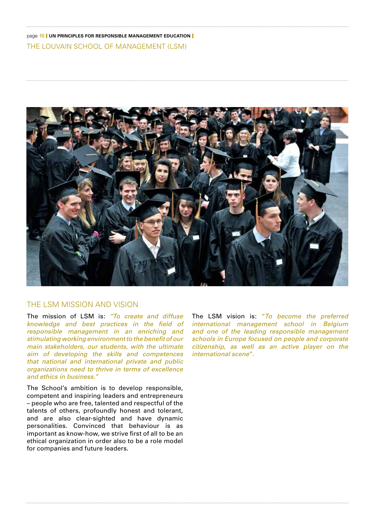page 10 **I UN Principles for Responsible Management education I** The Louvain School of Management (LSM)



# The LSM mission and vision

The mission of LSM is: *"To create and diffuse knowledge and best practices in the field of responsible management in an enriching and stimulating working environment to the benefit of our main stakeholders, our students, with the ultimate aim of developing the skills and competences that national and international private and public organizations need to thrive in terms of excellence and ethics in business."*

The School's ambition is to develop responsible, competent and inspiring leaders and entrepreneurs – people who are free, talented and respectful of the talents of others, profoundly honest and tolerant, and are also clear-sighted and have dynamic personalities. Convinced that behaviour is as important as know-how, we strive first of all to be an ethical organization in order also to be a role model for companies and future leaders.

The LSM vision is: "*To become the preferred international management school in Belgium and one of the leading responsible management schools in Europe focused on people and corporate citizenship, as well as an active player on the international scene*".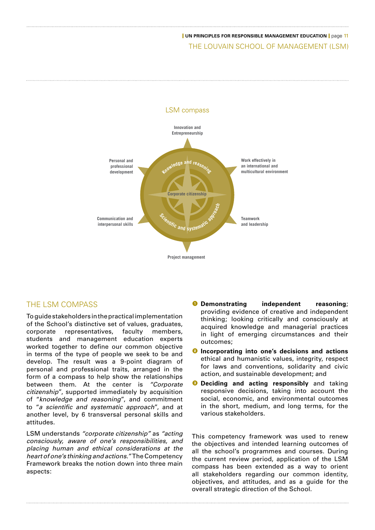**I UN Principles for Responsible Management education I** page 11 The Louvain School of Management (LSM)



# The LSM compass

To guide stakeholders in the practical implementation of the School's distinctive set of values, graduates, corporate representatives, faculty members, students and management education experts worked together to define our common objective in terms of the type of people we seek to be and develop. The result was a 9-point diagram of personal and professional traits, arranged in the form of a compass to help show the relationships between them. At the center is *"Corporate citizenship*", supported immediately by acquisition of "*knowledge and reasoning*", and commitment to "*a scientific and systematic approach*", and at another level, by 6 transversal personal skills and attitudes.

LSM understands *"corporate citizenship"* as *"acting consciously, aware of one's responsibilities, and placing human and ethical considerations at the heart of one's thinking and actions."* The Competency Framework breaks the notion down into three main aspects:

- 1 **Demonstrating independent reasoning**; providing evidence of creative and independent thinking; looking critically and consciously at acquired knowledge and managerial practices in light of emerging circumstances and their outcomes;
- $\bullet$  Incorporating into one's decisions and actions ethical and humanistic values, integrity, respect for laws and conventions, solidarity and civic action, and sustainable development; and
- **<sup>3</sup>** Deciding and acting responsibly and taking responsive decisions, taking into account the social, economic, and environmental outcomes in the short, medium, and long terms, for the various stakeholders.

This competency framework was used to renew the objectives and intended learning outcomes of all the school's programmes and courses. During the current review period, application of the LSM compass has been extended as a way to orient all stakeholders regarding our common identity, objectives, and attitudes, and as a guide for the overall strategic direction of the School.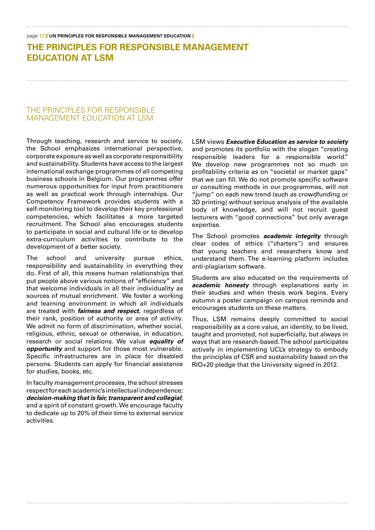# **The Principles for Responsible Management Education at LSM**

#### The Principles for Responsible Management Education at LSM

Through teaching, research and service to society, the School emphasizes international perspective, corporate exposure as well as corporate responsibility and sustainability. Students have access to the largest international exchange programmes of all competing business schools in Belgium. Our programmes offer numerous opportunities for input from practitioners as well as practical work through internships. Our Competency Framework provides students with a self-monitoring tool to develop their key professional competencies, which facilitates a more targeted recruitment. The School also encourages students to participate in social and cultural life or to develop extra-curriculum activities to contribute to the development of a better society.

The school and university pursue ethics, responsibility and sustainability in everything they do. First of all, this means human relationships that put people above various notions of "efficiency" and that welcome individuals in all their individuality as sources of mutual enrichment. We foster a working and learning environment in which all individuals are treated with *fairness and respect*, regardless of their rank, position of authority or area of activity. We admit no form of discrimination, whether social, religious, ethnic, sexual or otherwise, in education, research or social relations. We value *equality of opportunity* and support for those most vulnerable. Specific infrastructures are in place for disabled persons. Students can apply for financial assistance for studies, books, etc.

In faculty management processes, the school stresses respect for each academic's intellectual independence; *decision-making that is fair, transparent and collegial*; and a spirit of constant growth. We encourage faculty to dedicate up to 20% of their time to external service activities.

LSM views *Executive Education as service to society* and promotes its portfolio with the slogan "creating responsible leaders for a responsible world." We develop new programmes not so much on profitability criteria as on "societal or market gaps" that we can fill. We do not promote specific software or consulting methods in our programmes, will not "jump" on each new trend (such as crowdfunding or 3D printing) without serious analysis of the available body of knowledge, and will not recruit guest lecturers with "good connections" but only average expertise.

The School promotes *academic integrity* through clear codes of ethics ("charters") and ensures that young teachers and researchers know and understand them. The e-learning platform includes anti-plagiarism software.

Students are also educated on the requirements of *academic honesty* through explanations early in their studies and when thesis work begins. Every autumn a poster campaign on campus reminds and encourages students on these matters.

Thus, LSM remains deeply committed to social responsibility as a core value, an identity, to be lived, taught and promoted, not superficially, but always in ways that are research-based. The school participates actively in implementing UCL's strategy to embody the principles of CSR and sustainability based on the RIO+20 pledge that the University signed in 2012.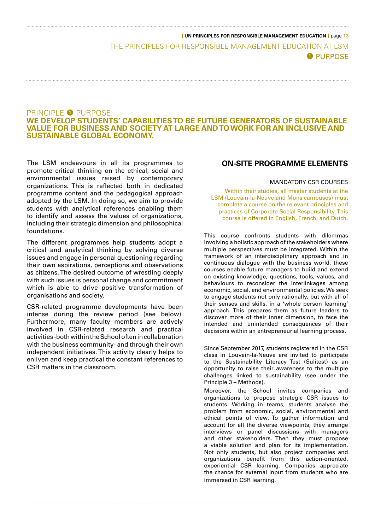The Principles for Responsible Management Education at LSM **O** PURPOSE

## PRINCIPLE <sup>1</sup> PURPOSE: **We develop students' capabilities to be future generators of sustainable value for business and society at large and to work for an inclusive and sustainable global economy.**

The LSM endeavours in all its programmes to promote critical thinking on the ethical, social and environmental issues raised by contemporary organizations. This is reflected both in dedicated programme content and the pedagogical approach adopted by the LSM. In doing so, we aim to provide students with analytical references enabling them to identify and assess the values of organizations, including their strategic dimension and philosophical foundations.

The different programmes help students adopt a critical and analytical thinking by solving diverse issues and engage in personal questioning regarding their own aspirations, perceptions and observations as citizens. The desired outcome of wrestling deeply with such issues is personal change and commitment which is able to drive positive transformation of organisations and society.

CSR-related programme developments have been intense during the review period (see below). Furthermore, many faculty members are actively involved in CSR-related research and practical activities -both within the School often in collaboration with the business community- and through their own independent initiatives. This activity clearly helps to enliven and keep practical the constant references to CSR matters in the classroom.

# **ON-SITE PROGRAMME ELEMENTS**

#### Mandatory CSR courses

Within their studies, all master students at the LSM (Louvain-la-Neuve and Mons campuses) must complete a course on the relevant principles and practices of Corporate Social Responsibility. This course is offered in English, French, and Dutch.

This course confronts students with dilemmas involving a holistic approach of the stakeholders where multiple perspectives must be integrated. Within the framework of an interdisciplinary approach and in continuous dialogue with the business world, these courses enable future managers to build and extend on existing knowledge, questions, tools, values, and behaviours to reconsider the interlinkages among economic, social, and environmental policies. We seek to engage students not only rationally, but with all of their senses and skills, in a 'whole person learning' approach. This prepares them as future leaders to discover more of their inner dimension, to face the intended and unintended consequences of their decisions within an entrepreneurial learning process.

Since September 2017, students registered in the CSR class in Louvain-la-Neuve are invited to participate to the Sustainability Literacy Test (Sulitest) as an opportunity to raise their awareness to the multiple challenges linked to sustainability (see under the Principle 3 – Methods).

Moreover, the School invites companies and organizations to propose strategic CSR issues to students. Working in teams, students analyse the problem from economic, social, environmental and ethical points of view. To gather information and account for all the diverse viewpoints, they arrange interviews or panel discussions with managers and other stakeholders. Then they must propose a viable solution and plan for its implementation. Not only students, but also project companies and organizations benefit from this action-oriented, experiential CSR learning. Companies appreciate the chance for external input from students who are immersed in CSR learning.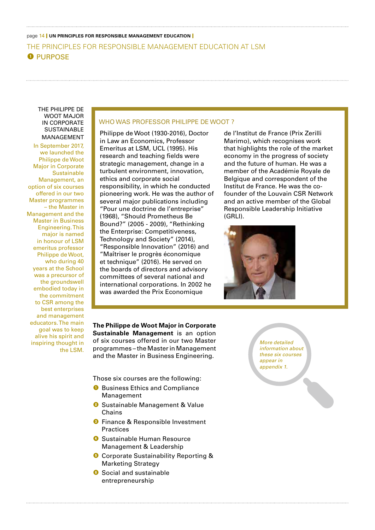THE PRINCIPLES FOR RESPONSIBLE MANAGEMENT EDUCATION AT LSM **O** PURPOSE

#### The Philippe de Woot Major in Corporate **SUSTAINABLE** Management

In September 2017, we launched the Philippe de Woot Major in Corporate **Sustainable** Management, an option of six courses offered in our two Master programmes – the Master in Management and the Master in Business Engineering. This major is named in honour of LSM emeritus professor Philippe de Woot, who during 40 years at the School was a precursor of the groundswell embodied today in the commitment to CSR among the best enterprises and management educators. The main goal was to keep alive his spirit and inspiring thought in the LSM.

# WHO WAS PROFESSOR PHILIPPE DE WOOT ?

Philippe de Woot (1930-2016), Doctor in Law an Economics, Professor Emeritus at LSM, UCL (1995). His research and teaching fields were strategic management, change in a turbulent environment, innovation, ethics and corporate social responsibility, in which he conducted pioneering work. He was the author of several major publications including "Pour une doctrine de l'entreprise" (1968), "Should Prometheus Be Bound?" (2005 - 2009), "Rethinking the Enterprise: Competitiveness, Technology and Society" (2014), "Responsible Innovation" (2016) and "Maîtriser le progrès économique et technique" (2016). He served on the boards of directors and advisory committees of several national and international corporations. In 2002 he was awarded the Prix Economique

de l'Institut de France (Prix Zerilli Marimo), which recognises work that highlights the role of the market economy in the progress of society and the future of human. He was a member of the Académie Royale de Belgique and correspondent of the Institut de France. He was the cofounder of the Louvain CSR Network and an active member of the Global Responsible Leadership Initiative (GRLI).



**The Philippe de Woot Major in Corporate Sustainable Management** is an option of six courses offered in our two Master programmes – the Master in Management and the Master in Business Engineering.

Those six courses are the following:

- **0** Business Ethics and Compliance Management
- **2** Sustainable Management & Value Chains
- **3** Finance & Responsible Investment Practices
- **<sup>4</sup>** Sustainable Human Resource Management & Leadership
- **6** Corporate Sustainability Reporting & Marketing Strategy
- **6** Social and sustainable entrepreneurship

*More detailed information about these six courses appear in appendix 1.*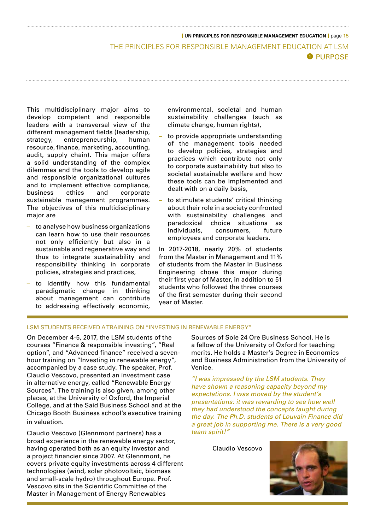THE PRINCIPLES FOR RESPONSIBLE MANAGEMENT EDUCATION AT LSM **O** PURPOSE

This multidisciplinary major aims to develop competent and responsible leaders with a transversal view of the different management fields (leadership, strategy, entrepreneurship, human resource, finance, marketing, accounting, audit, supply chain). This major offers a solid understanding of the complex dilemmas and the tools to develop agile and responsible organizational cultures and to implement effective compliance, business ethics and corporate sustainable management programmes. The objectives of this multidisciplinary major are

- to analyse how business organizations can learn how to use their resources not only efficiently but also in a sustainable and regenerative way and thus to integrate sustainability and responsibility thinking in corporate policies, strategies and practices,
- to identify how this fundamental paradigmatic change in thinking about management can contribute to addressing effectively economic,

environmental, societal and human sustainability challenges (such as climate change, human rights),

- to provide appropriate understanding of the management tools needed to develop policies, strategies and practices which contribute not only to corporate sustainability but also to societal sustainable welfare and how these tools can be implemented and dealt with on a daily basis,
- to stimulate students' critical thinking about their role in a society confronted with sustainability challenges and paradoxical choice situations as individuals, consumers, future employees and corporate leaders.

In 2017-2018, nearly 20% of students from the Master in Management and 11% of students from the Master in Business Engineering chose this major during their first year of Master, in addition to 51 students who followed the three courses of the first semester during their second year of Master.

#### LSM students received atraining on "Investing in renewable energy"

On December 4-5, 2017, the LSM students of the courses "Finance & responsible investing", "Real option", and "Advanced finance" received a sevenhour training on "Investing in renewable energy", accompanied by a case study. The speaker, Prof. Claudio Vescovo, presented an investment case in alternative energy, called "Renewable Energy Sources". The training is also given, among other places, at the University of Oxford, the Imperial College, and at the Said Business School and at the Chicago Booth Business school's executive training in valuation.

Claudio Vescovo (Glennmont partners) has a broad experience in the renewable energy sector, having operated both as an equity investor and a project financier since 2007. At Glennmont, he covers private equity investments across 4 different technologies (wind, solar photovoltaic, biomass and small-scale hydro) throughout Europe. Prof. Vescovo sits in the Scientific Committee of the Master in Management of Energy Renewables

Sources of Sole 24 Ore Business School. He is a fellow of the University of Oxford for teaching merits. He holds a Master's Degree in Economics and Business Administration from the University of Venice.

*"I was impressed by the LSM students. They have shown a reasoning capacity beyond my expectations. I was moved by the student's presentations: it was rewarding to see how well they had understood the concepts taught during the day. The Ph.D. students of Louvain Finance did a great job in supporting me. There is a very good team spirit!"*

Claudio Vescovo

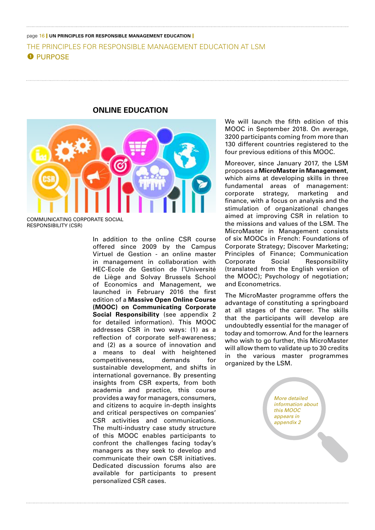#### page 16 **I UN Principles for Responsible Management education I**

# THE PRINCIPLES FOR RESPONSIBLE MANAGEMENT EDUCATION AT LSM **O** PURPOSE

# **ONLINE EDUCATION**



Communicating Corporate Social Responsibility (CSR)

In addition to the online CSR course offered since 2009 by the Campus Virtuel de Gestion - an online master in management in collaboration with HEC-Ecole de Gestion de l'Université de Liège and Solvay Brussels School of Economics and Management, we launched in February 2016 the first edition of a **Massive Open Online Course (MOOC) on Communicating Corporate Social Responsibility** (see appendix 2 for detailed information). This MOOC addresses CSR in two ways: (1) as a reflection of corporate self-awareness; and (2) as a source of innovation and a means to deal with heightened competitiveness, demands for sustainable development, and shifts in international governance. By presenting insights from CSR experts, from both academia and practice, this course provides a way for managers, consumers, and citizens to acquire in-depth insights and critical perspectives on companies' CSR activities and communications. The multi-industry case study structure of this MOOC enables participants to confront the challenges facing today's managers as they seek to develop and communicate their own CSR initiatives. Dedicated discussion forums also are available for participants to present personalized CSR cases.

We will launch the fifth edition of this MOOC in September 2018. On average, 3200 participants coming from more than 130 different countries registered to the four previous editions of this MOOC.

Moreover, since January 2017, the LSM proposes a **MicroMaster in Management**, which aims at developing skills in three fundamental areas of management:<br>corporate strategy, marketing and strategy, marketing and finance, with a focus on analysis and the stimulation of organizational changes aimed at improving CSR in relation to the missions and values of the LSM. The MicroMaster in Management consists of six MOOCs in French: Foundations of Corporate Strategy; Discover Marketing; Principles of Finance; Communication Corporate Social Responsibility (translated from the English version of the MOOC); Psychology of negotiation; and Econometrics.

The MicroMaster programme offers the advantage of constituting a springboard at all stages of the career. The skills that the participants will develop are undoubtedly essential for the manager of today and tomorrow. And for the learners who wish to go further, this MicroMaster will allow them to validate up to 30 credits in the various master programmes organized by the LSM.

> *More detailed information about this MOOC appears in appendix 2*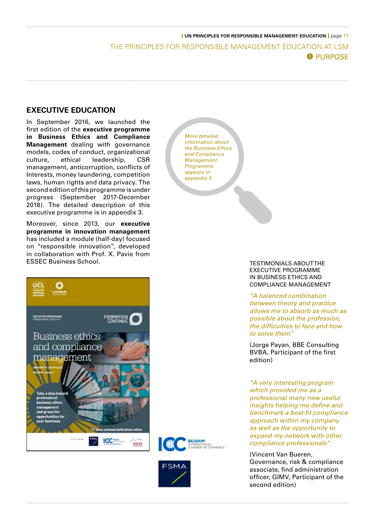THE PRINCIPLES FOR RESPONSIBLE MANAGEMENT EDUCATION AT LSM **O** PURPOSE

# **EXECUTIVE EDUCATION**

In September 2016, we launched the first edition of the **executive programme in Business Ethics and Compliance Management** dealing with governance models, codes of conduct, organizational culture, ethical leadership, CSR management, anticorruption, conflicts of Interests, money laundering, competition laws, human rights and data privacy. The second edition of this programme is under progress (September 2017-December 2018). The detailed description of this executive programme is in appendix 3.

Moreover, since 2013, our **executive programme in innovation management** has included a module (half-day) focused on "responsible innovation", developed in collaboration with Prof. X. Pavie from ESSEC Business School.



*More detailed information about the Business Ethics and Compliance Management Programme appears in appendix 3*

**BELGIUM** 

COMMITTEE

Testimonials aboutthe executive programme in Business Ethics and Compliance Management

*"A balanced combination between theory and practice allows me to absorb as much as possible about the profession, the difficulties to face and how to solve them"* 

(Jorge Payan, BBE Consulting BVBA, Participant of the first edition)

*"A very interesting program which provided me as a professional many new useful insights helping me define and benchmark a best-fit compliance approach within my company as well as the opportunity to expand my network with other compliance professionals"* 

(Vincent Van Bueren, Governance, risk & compliance associate, find administration officer, GIMV, Participant of the second edition)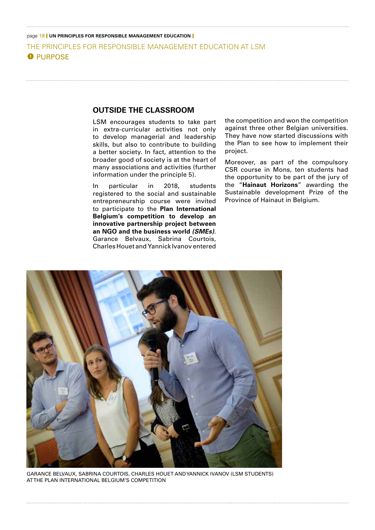THE PRINCIPLES FOR RESPONSIBLE MANAGEMENT EDUCATION AT LSM **O** PURPOSE

#### **OUTSIDE THE CLASSROOM**

LSM encourages students to take part in extra-curricular activities not only to develop managerial and leadership skills, but also to contribute to building a better society. In fact, attention to the broader good of society is at the heart of many associations and activities (further information under the principle 5).

In particular in 2018, students registered to the social and sustainable entrepreneurship course were invited to participate to the **Plan International Belgium's competition to develop an innovative partnership project between an NGO and the business world** *(SMEs)*. Garance Belvaux, Sabrina Courtois, Charles Houet and Yannick Ivanov entered

the competition and won the competition against three other Belgian universities. They have now started discussions with the Plan to see how to implement their project.

Moreover, as part of the compulsory CSR course in Mons, ten students had the opportunity to be part of the jury of the "**Hainaut Horizons**" awarding the Sustainable development Prize of the Province of Hainaut in Belgium.



GARANCE BELVAUX, SABRINA COURTOIS, CHARLES HOUET AND YANNICK IVANOV (LSM STUDENTS) atthe Plan International Belgium's competition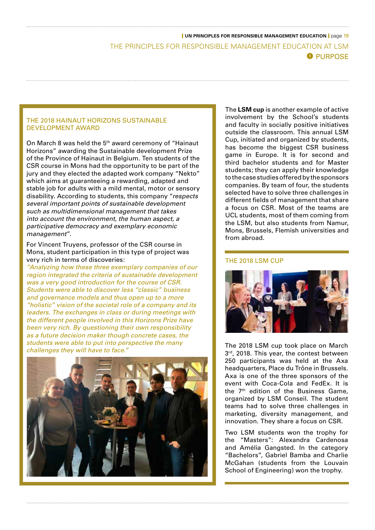The Principles for Responsible Management Education at LSM **O** PURPOSE

#### The 2018 Hainaut Horizons Sustainable Development Award

On March 8 was held the 5<sup>th</sup> award ceremony of "Hainaut" Horizons" awarding the Sustainable development Prize of the Province of Hainaut in Belgium. Ten students of the CSR course in Mons had the opportunity to be part of the jury and they elected the adapted work company "Nekto" which aims at guaranteeing a rewarding, adapted and stable job for adults with a mild mental, motor or sensory disability. According to students, this company "*respects several important points of sustainable development such as multidimensional management that takes into account the environment, the human aspect, a participative democracy and exemplary economic management*".

For Vincent Truyens, professor of the CSR course in Mons, student participation in this type of project was very rich in terms of discoveries:

*"Analyzing how these three exemplary companies of our region integrated the criteria of sustainable development was a very good introduction for the course of CSR. Students were able to discover less "classic" business and governance models and thus open up to a more "holistic" vision of the societal role of a company and its leaders. The exchanges in class or during meetings with the different people involved in this Horizons Prize have been very rich. By questioning their own responsibility as a future decision maker though concrete cases, the students were able to put into perspective the many challenges they will have to face."*



The **LSM cup** is another example of active involvement by the School's students and faculty in socially positive initiatives outside the classroom. This annual LSM Cup, initiated and organized by students, has become the biggest CSR business game in Europe. It is for second and third bachelor students and for Master students; they can apply their knowledge to the case studies offered by the sponsors companies. By team of four, the students selected have to solve three challenges in different fields of management that share a focus on CSR. Most of the teams are UCL students, most of them coming from the LSM, but also students from Namur, Mons, Brussels, Flemish universities and from abroad.

# The 2018 LSM cup



The 2018 LSM cup took place on March  $3<sup>rd</sup>$ , 2018. This year, the contest between 250 participants was held at the Axa headquarters, Place du Trône in Brussels. Axa is one of the three sponsors of the event with Coca-Cola and FedEx. It is the 7th edition of the Business Game, organized by LSM Conseil. The student teams had to solve three challenges in marketing, diversity management, and innovation. They share a focus on CSR.

Two LSM students won the trophy for the "Masters": Alexandra Cardenosa and Amélia Gangsted. In the category "Bachelors", Gabriel Bamba and Charlie McGahan (students from the Louvain School of Engineering) won the trophy.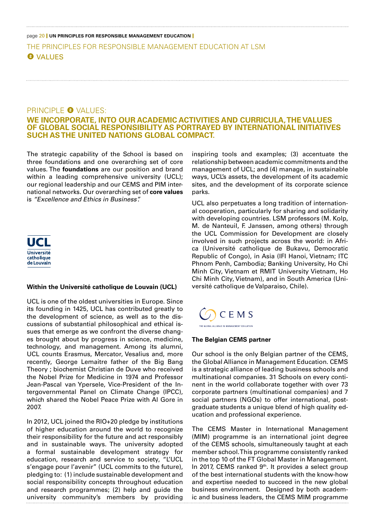The Principles for Responsible Management Education at LSM **<sup>2</sup>** values

# PRINCIPLE <sup>2</sup> VALUES:

# **We incorporate, into our academic activities and curricula, the values of global social responsibility as portrayed by international initiatives such as the United Nations Global Compact.**

The strategic capability of the School is based on three foundations and one overarching set of core values. The **foundations** are our position and brand within a leading comprehensive university (UCL); our regional leadership and our CEMS and PIM international networks. Our overarching set of **core values** is *"Excellence and Ethics in Business".*



#### **Within the Université catholique de Louvain (UCL)**

UCL is one of the oldest universities in Europe. Since its founding in 1425, UCL has contributed greatly to the development of science, as well as to the discussions of substantial philosophical and ethical issues that emerge as we confront the diverse changes brought about by progress in science, medicine, technology, and management. Among its alumni, UCL counts Erasmus, Mercator, Vesalius and, more recently, George Lemaitre father of the Big Bang Theory ; biochemist Christian de Duve who received the Nobel Prize for Medicine in 1974 and Professor Jean-Pascal van Ypersele, Vice-President of the Intergovernmental Panel on Climate Change (IPCC), which shared the Nobel Peace Prize with Al Gore in 2007.

In 2012, UCL joined the RIO+20 pledge by institutions of higher education around the world to recognize their responsibility for the future and act responsibly and in sustainable ways. The university adopted a formal sustainable development strategy for education, research and service to society, "L'UCL s'engage pour l'avenir" (UCL commits to the future), pledging to: (1) include sustainable development and social responsibility concepts throughout education and research programmes; (2) help and guide the university community's members by providing

inspiring tools and examples; (3) accentuate the relationship between academic commitments and the management of UCL; and (4) manage, in sustainable ways, UCL's assets, the development of its academic sites, and the development of its corporate science parks.

UCL also perpetuates a long tradition of international cooperation, particularly for sharing and solidarity with developing countries. LSM professors (M. Kolp, M. de Nanteuil, F. Janssen, among others) through the UCL Commission for Development are closely involved in such projects across the world: in Africa (Université catholique de Bukavu, Democratic Republic of Congo), in Asia (IFI Hanoi, Vietnam; ITC Phnom Penh, Cambodia; Banking University, Ho Chi Minh City, Vietnam et RMIT University Vietnam, Ho Chi Minh City, Vietnam), and in South America (Université catholique de Valparaiso, Chile).



#### **The Belgian CEMS partner**

Our school is the only Belgian partner of the CEMS, the Global Alliance in Management Education. CEMS is a strategic alliance of leading business schools and multinational companies. 31 Schools on every continent in the world collaborate together with over 73 corporate partners (multinational companies) and 7 social partners (NGOs) to offer international, postgraduate students a unique blend of high quality education and professional experience.

The CEMS Master in International Management (MIM) programme is an international joint degree of the CEMS schools, simultaneously taught at each member school.This programme consistently ranked in the top 10 of the FT Global Master in Management. In 2017, CEMS ranked 9<sup>th</sup>. It provides a select group of the best international students with the know-how and expertise needed to succeed in the new global business environment. Designed by both academic and business leaders, the CEMS MIM programme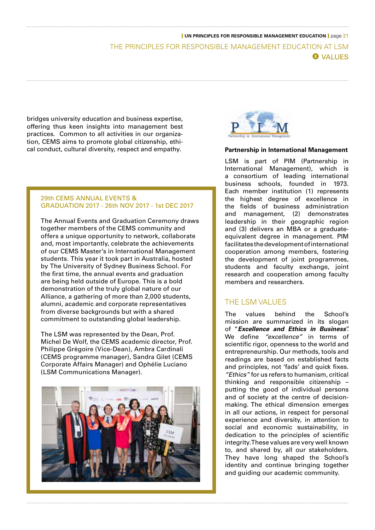THE PRINCIPLES FOR RESPONSIBLE MANAGEMENT EDUCATION AT LSM **8** VALUES

bridges university education and business expertise, offering thus keen insights into management best practices. Common to all activities in our organization, CEMS aims to promote global citizenship, ethical conduct, cultural diversity, respect and empathy. **Partnership in International Management**

#### 29th CEMS annual events & graduation 2017 - 26th Nov 2017 - 1st Dec 2017

The Annual Events and Graduation Ceremony draws together members of the CEMS community and offers a unique opportunity to network, collaborate and, most importantly, celebrate the achievements of our CEMS Master's in International Management students. This year it took part in Australia, hosted by The University of Sydney Business School. For the first time, the annual events and graduation are being held outside of Europe. This is a bold demonstration of the truly global nature of our Alliance, a gathering of more than 2,000 students, alumni, academic and corporate representatives from diverse backgrounds but with a shared commitment to outstanding global leadership.

The LSM was represented by the Dean, Prof. Michel De Wolf, the CEMS academic director, Prof. Philippe Grégoire (Vice-Dean), Ambra Cardinali (CEMS programme manager), Sandra Gilet (CEMS Corporate Affairs Manager) and Ophélie Luciano (LSM Communications Manager).





LSM is part of PIM (Partnership in International Management), which is a consortium of leading international business schools, founded in 1973. Each member institution (1) represents the highest degree of excellence in the fields of business administration and management, (2) demonstrates leadership in their geographic region and (3) delivers an MBA or a graduateequivalent degree in management. PIM facilitates the development of international cooperation among members, fostering the development of joint programmes, students and faculty exchange, joint research and cooperation among faculty members and researchers.

# THE LSM VALUES

The values behind the School's mission are summarized in its slogan of "*Excellence and Ethics in Business*". We define *"excellence"* in terms of scientific rigor, openness to the world and entrepreneurship. Our methods, tools and readings are based on established facts and principles, not 'fads' and quick fixes. *"Ethics"* for us refers to humanism, critical thinking and responsible citizenship – putting the good of individual persons and of society at the centre of decisionmaking. The ethical dimension emerges in all our actions, in respect for personal experience and diversity, in attention to social and economic sustainability, in dedication to the principles of scientific integrity. These values are very well known to, and shared by, all our stakeholders. They have long shaped the School's identity and continue bringing together and guiding our academic community.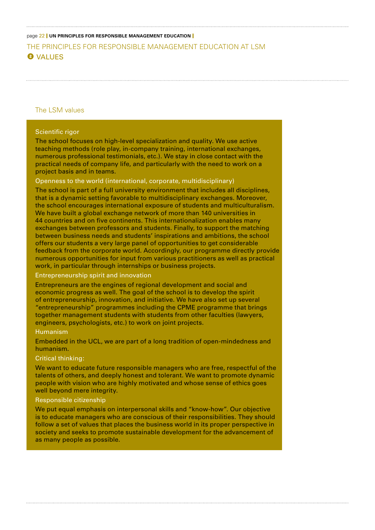#### page 22 **I UN Principles for Responsible Management education I**

The Principles for Responsible Management Education at LSM **8** VALUES

# The LSM values

#### Scientific rigor

The school focuses on high-level specialization and quality. We use active teaching methods (role play, in-company training, international exchanges, numerous professional testimonials, etc.). We stay in close contact with the practical needs of company life, and particularly with the need to work on a project basis and in teams.

#### Openness to the world (international, corporate, multidisciplinary)

The school is part of a full university environment that includes all disciplines, that is a dynamic setting favorable to multidisciplinary exchanges. Moreover, the school encourages international exposure of students and multiculturalism. We have built a global exchange network of more than 140 universities in 44 countries and on five continents. This internationalization enables many exchanges between professors and students. Finally, to support the matching between business needs and students' inspirations and ambitions, the school offers our students a very large panel of opportunities to get considerable feedback from the corporate world. Accordingly, our programme directly provide numerous opportunities for input from various practitioners as well as practical work, in particular through internships or business projects.

#### Entrepreneurship spirit and innovation

Entrepreneurs are the engines of regional development and social and economic progress as well. The goal of the school is to develop the spirit of entrepreneurship, innovation, and initiative. We have also set up several "entrepreneurship" programmes including the CPME programme that brings together management students with students from other faculties (lawyers, engineers, psychologists, etc.) to work on joint projects.

#### Humanism

Embedded in the UCL, we are part of a long tradition of open-mindedness and humanism.

#### Critical thinking:

We want to educate future responsible managers who are free, respectful of the talents of others, and deeply honest and tolerant. We want to promote dynamic people with vision who are highly motivated and whose sense of ethics goes well beyond mere integrity.

#### Responsible citizenship

We put equal emphasis on interpersonal skills and "know-how". Our objective is to educate managers who are conscious of their responsibilities. They should follow a set of values that places the business world in its proper perspective in society and seeks to promote sustainable development for the advancement of as many people as possible.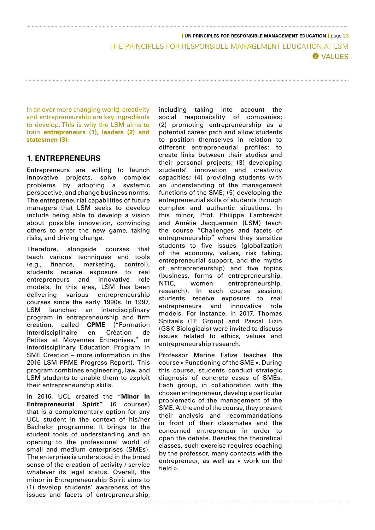The Principles for Responsible Management Education at LSM **<sup>2</sup>** VALUES

In an ever more changing world, creativity and entrepreneurship are key ingredients to develop. This is why the LSM aims to train **entrepreneurs (1), leaders (2) and statesmen (3).**

#### **1. Entrepreneurs**

Entrepreneurs are willing to launch innovative projects, solve complex problems by adopting a systemic perspective, and change business norms. The entrepreneurial capabilities of future managers that LSM seeks to develop include being able to develop a vision about possible innovation, convincing others to enter the new game, taking risks, and driving change.

Therefore, alongside courses that teach various techniques and tools (e.g., finance, marketing, control), students receive exposure to real entrepreneurs and innovative role models. In this area, LSM has been delivering various entrepreneurship courses since the early 1990s. In 1997, LSM launched an interdisciplinary program in entrepreneurship and firm creation, called **CPME** ("Formation Interdisciplinaire en Création de Petites et Moyennes Entreprises," or Interdisciplinary Education Program in SME Creation – more information in the 2016 LSM PRME Progress Report). This program combines engineering, law, and LSM students to enable them to exploit their entrepreneurship skills.

In 2016, UCL created the "**Minor in Entrepreneurial Spirit**" (6 courses) that is a complementary option for any UCL student in the context of his/her Bachelor programme. It brings to the student tools of understanding and an opening to the professional world of small and medium enterprises (SMEs). The enterprise is understood in the broad sense of the creation of activity / service whatever its legal status. Overall, the minor in Entrepreneurship Spirit aims to (1) develop students' awareness of the issues and facets of entrepreneurship, including taking into account the social responsibility of companies; (2) promoting entrepreneurship as a potential career path and allow students to position themselves in relation to different entrepreneurial profiles: to create links between their studies and their personal projects; (3) developing students' innovation and creativity capacities; (4) providing students with an understanding of the management functions of the SME; (5) developing the entrepreneurial skills of students through complex and authentic situations. In this minor, Prof. Philippe Lambrecht and Amélie Jacquemain (LSM) teach the course "Challenges and facets of entrepreneurship" where they sensitize students to five issues (globalization of the economy, values, risk taking, entrepreneurial support, and the myths of entrepreneurship) and five topics (business, forms of entrepreneurship, NTIC, women entrepreneurship, research). In each course session, students receive exposure to real entrepreneurs and innovative role models. For instance, in 2017, Thomas Spitaels (TF Group) and Pascal Lizin (GSK Biologicals) were invited to discuss issues related to ethics, values and entrepreneurship research.

Professor Marine Falize teaches the course « Functioning of the SME ». During this course, students conduct strategic diagnosis of concrete cases of SMEs. Each group, in collaboration with the chosen entrepreneur, develop a particular problematic of the management of the SME. At the end of the course, they present their analysis and recommandations in front of their classmates and the concerned entrepreneur in order to open the debate. Besides the theoretical classes, such exercise requires coaching by the professor, many contacts with the entrepreneur, as well as « work on the field ».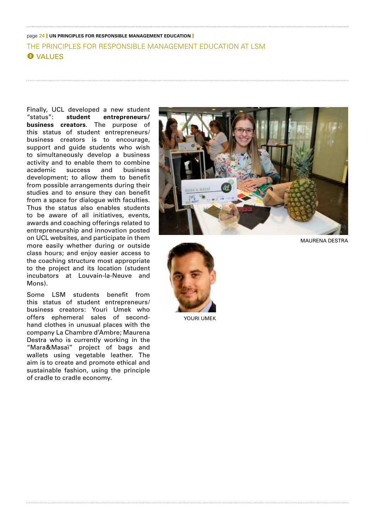# page 24 **I UN Principles for Responsible Management education I** The Principles for Responsible Management Education at LSM **<sup>2</sup>** VALUES

Finally, UCL developed a new student "status": **student entrepreneurs/ business creators**. The purpose of this status of student entrepreneurs/ business creators is to encourage, support and guide students who wish to simultaneously develop a business activity and to enable them to combine academic success and business development; to allow them to benefit from possible arrangements during their studies and to ensure they can benefit from a space for dialogue with faculties. Thus the status also enables students to be aware of all initiatives, events, awards and coaching offerings related to entrepreneurship and innovation posted on UCL websites, and participate in them more easily whether during or outside class hours; and enjoy easier access to the coaching structure most appropriate to the project and its location (student incubators at Louvain-la-Neuve and Mons).

Some LSM students benefit from this status of student entrepreneurs/ business creators: Youri Umek who offers ephemeral sales of secondhand clothes in unusual places with the company La Chambre d'Ambre; Maurena Destra who is currently working in the "Mara&Masaï" project of bags and wallets using vegetable leather. The aim is to create and promote ethical and sustainable fashion, using the principle of cradle to cradle economy.



Maurena Destra



Youri Umek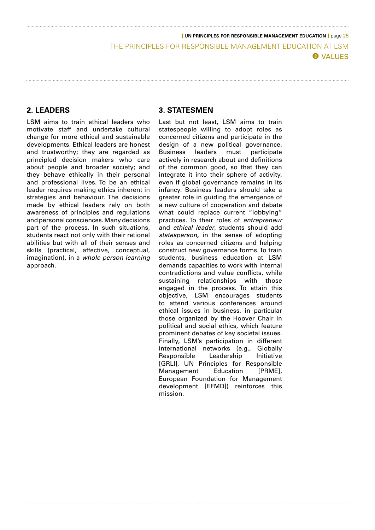The Principles for Responsible Management Education at LSM **<sup>2</sup>** VALUES

# **2. Leaders**

LSM aims to train ethical leaders who motivate staff and undertake cultural change for more ethical and sustainable developments. Ethical leaders are honest and trustworthy; they are regarded as principled decision makers who care about people and broader society; and they behave ethically in their personal and professional lives. To be an ethical leader requires making ethics inherent in strategies and behaviour. The decisions made by ethical leaders rely on both awareness of principles and regulations and personal consciences. Many decisions part of the process. In such situations, students react not only with their rational abilities but with all of their senses and skills (practical, affective, conceptual, imagination), in a *whole person learning* approach.

## **3. Statesmen**

Last but not least, LSM aims to train statespeople willing to adopt roles as concerned citizens and participate in the design of a new political governance. Business leaders must participate actively in research about and definitions of the common good, so that they can integrate it into their sphere of activity, even if global governance remains in its infancy. Business leaders should take a greater role in guiding the emergence of a new culture of cooperation and debate what could replace current "lobbying" practices. To their roles of *entrepreneur*  and *ethical leader*, students should add *statesperson,* in the sense of adopting roles as concerned citizens and helping construct new governance forms. To train students, business education at LSM demands capacities to work with internal contradictions and value conflicts, while sustaining relationships with those engaged in the process. To attain this objective, LSM encourages students to attend various conferences around ethical issues in business, in particular those organized by the Hoover Chair in political and social ethics, which feature prominent debates of key societal issues. Finally, LSM's participation in different international networks (e.g., Globally Responsible Leadership Initiative [GRLI], UN Principles for Responsible Management Education [PRME], European Foundation for Management development [EFMD]) reinforces this mission.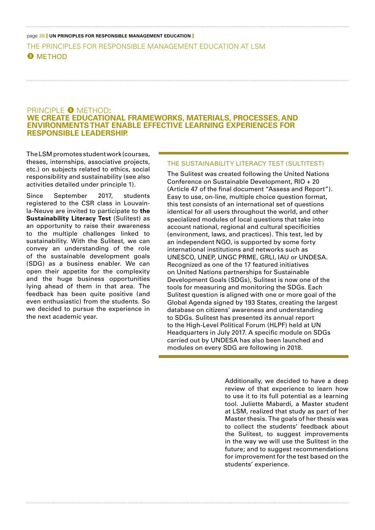The Principles for Responsible Management Education at LSM **<sup>3</sup>** METHOD

#### PRINCIPLE <sup>O</sup> METHOD: **We create educational frameworks, materials, processes, and environments that enable effective learning experiences for responsible leadership.**

The LSM promotes student work (courses, theses, internships, associative projects, etc.) on subjects related to ethics, social responsibility and sustainability (see also activities detailed under principle 1).

Since September 2017, students registered to the CSR class in Louvainla-Neuve are invited to participate to **the Sustainability Literacy Test** (Sulitest) as an opportunity to raise their awareness to the multiple challenges linked to sustainability. With the Sulitest, we can convey an understanding of the role of the sustainable development goals (SDG) as a business enabler. We can open their appetite for the complexity and the huge business opportunities lying ahead of them in that area. The feedback has been quite positive (and even enthusiastic) from the students. So we decided to pursue the experience in the next academic year.

#### The Sustainability Literacy Test (Sultitest)

The Sulitest was created following the United Nations Conference on Sustainable Development, RIO + 20 (Article 47 of the final document "Assess and Report"). Easy to use, on-line, multiple choice question format, this test consists of an international set of questions identical for all users throughout the world, and other specialized modules of local questions that take into account national, regional and cultural specificities (environment, laws, and practices). This test, led by an independent NGO, is supported by some forty international institutions and networks such as UNESCO, UNEP, UNGC PRME, GRLI, IAU or UNDESA. Recognized as one of the 17 featured initiatives on United Nations partnerships for Sustainable Development Goals (SDGs), Sulitest is now one of the tools for measuring and monitoring the SDGs. Each Sulitest question is aligned with one or more goal of the Global Agenda signed by 193 States, creating the largest database on citizens' awareness and understanding to SDGs. Sulitest has presented its annual report to the High-Level Political Forum (HLPF) held at UN Headquarters in July 2017. A specific module on SDGs carried out by UNDESA has also been launched and modules on every SDG are following in 2018.

> Additionally, we decided to have a deep review of that experience to learn how to use it to its full potential as a learning tool. Juliette Mabardi, a Master student at LSM, realized that study as part of her Master thesis. The goals of her thesis was to collect the students' feedback about the Sulitest, to suggest improvements in the way we will use the Sulitest in the future; and to suggest recommendations for improvement for the test based on the students' experience.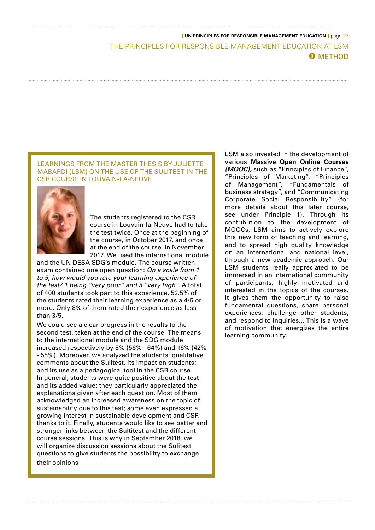The Principles for Responsible Management Education at LSM **8 METHOD** 

#### LEARNINGS FROM THE MASTER THESIS BY JULIETTE Mabardi (LSM) on the use of the Sulitest in the CSR course in Louvain-la-Neuve



The students registered to the CSR course in Louvain-la-Neuve had to take the test twice. Once at the beginning of the course, in October 2017, and once at the end of the course, in November 2017. We used the international module

and the UN DESA SDG's module. The course written exam contained one open question: *On a scale from 1 to 5, how would you rate your learning experience of the test? 1 being "very poor" and 5 "very high".* A total of 400 students took part to this experience. 52.5% of the students rated their learning experience as a 4/5 or more. Only 8% of them rated their experience as less than 3/5.

We could see a clear progress in the results to the second test, taken at the end of the course. The means to the international module and the SDG module increased respectively by 8% (56% - 64%) and 16% (42% - 58%). Moreover, we analyzed the students' qualitative comments about the Sulitest, its impact on students; and its use as a pedagogical tool in the CSR course. In general, students were quite positive about the test and its added value; they particularly appreciated the explanations given after each question. Most of them acknowledged an increased awareness on the topic of sustainability due to this test; some even expressed a growing interest in sustainable development and CSR thanks to it. Finally, students would like to see better and stronger links between the Sultitest and the different course sessions. This is why in September 2018, we will organize discussion sessions about the Sulitest questions to give students the possibility to exchange their opinions

LSM also invested in the development of various **Massive Open Online Courses** *(MOOC),* such as "Principles of Finance", "Principles of Marketing", "Principles of Management", "Fundamentals of business strategy", and "Communicating Corporate Social Responsibility" (for more details about this later course, see under Principle 1). Through its contribution to the development of MOOCs, LSM aims to actively explore this new form of teaching and learning, and to spread high quality knowledge on an international and national level, through a new academic approach. Our LSM students really appreciated to be immersed in an international community of participants, highly motivated and interested in the topics of the courses. It gives them the opportunity to raise fundamental questions, share personal experiences, challenge other students, and respond to inquiries... This is a wave of motivation that energizes the entire learning community.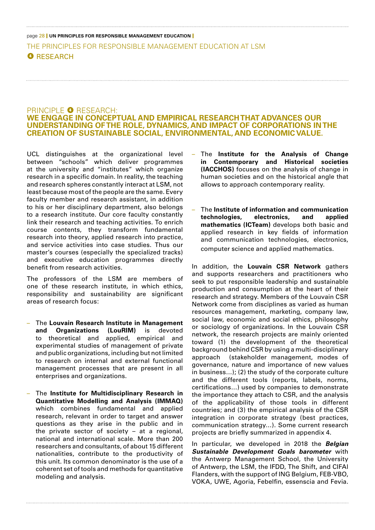The Principles for Responsible Management Education at LSM **O** RESEARCH

#### PRINCIPLE **O** RESEARCH: **We engage in conceptual and empirical research that advances our understanding of the role, dynamics, and impact of corporations in the creation of sustainable social, environmental, and economic value.**

UCL distinguishes at the organizational level between "schools" which deliver programmes at the university and "institutes" which organize research in a specific domain. In reality, the teaching and research spheres constantly interact at LSM, not least because most of the people are the same. Every faculty member and research assistant, in addition to his or her disciplinary department, also belongs to a research institute. Our core faculty constantly link their research and teaching activities. To enrich course contents, they transform fundamental research into theory, applied research into practice, and service activities into case studies. Thus our master's courses (especially the specialized tracks) and executive education programmes directly benefit from research activities.

The professors of the LSM are members of one of these research institute, in which ethics, responsibility and sustainability are significant areas of research focus:

- The **Louvain Research Institute in Management and Organizations (LouRIM)** is devoted to theoretical and applied, empirical and experimental studies of management of private and public organizations, including but not limited to research on internal and external functional management processes that are present in all enterprises and organizations.
- The **Institute for Multidisciplinary Research in Quantitative Modelling and Analysis (IMMAQ)**  which combines fundamental and applied research, relevant in order to target and answer questions as they arise in the public and in the private sector of society – at a regional, national and international scale. More than 200 researchers and consultants, of about 15 different nationalities, contribute to the productivity of this unit. Its common denominator is the use of a coherent set of tools and methods for quantitative modeling and analysis.
- The **Institute for the Analysis of Change in Contemporary and Historical societies (IACCHOS)** focuses on the analysis of change in human societies and on the historical angle that allows to approach contemporary reality.
- The **Institute of information and communication technologies, electronics, and applied mathematics (ICTeam)** develops both basic and applied research in key fields of information and communication technologies, electronics, computer science and applied mathematics.

In addition, the **Louvain CSR Network** gathers and supports researchers and practitioners who seek to put responsible leadership and sustainable production and consumption at the heart of their research and strategy. Members of the Louvain CSR Network come from disciplines as varied as human resources management, marketing, company law, social law, economic and social ethics, philosophy or sociology of organizations. In the Louvain CSR network, the research projects are mainly oriented toward (1) the development of the theoretical background behind CSR by using a multi-disciplinary approach (stakeholder management, modes of governance, nature and importance of new values in business…); (2) the study of the corporate culture and the different tools (reports, labels, norms, certifications…) used by companies to demonstrate the importance they attach to CSR, and the analysis of the applicability of those tools in different countries; and (3) the empirical analysis of the CSR integration in corporate strategy (best practices, communication strategy…). Some current research projects are briefly summarized in appendix 4.

In particular, we developed in 2018 the *Belgian Sustainable Development Goals barometer* with the Antwerp Management School, the University of Antwerp, the LSM, the IFDD, The Shift, and CIFAl Flanders, with the support of ING Belgium, FEB-VBO, VOKA, UWE, Agoria, Febelfin, essenscia and Fevia.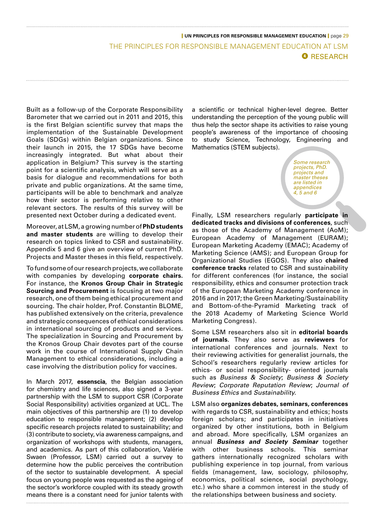The Principles for Responsible Management Education at LSM **O** RESEARCH

Built as a follow-up of the Corporate Responsibility Barometer that we carried out in 2011 and 2015, this is the first Belgian scientific survey that maps the implementation of the Sustainable Development Goals (SDGs) within Belgian organizations. Since their launch in 2015, the 17 SDGs have become increasingly integrated. But what about their application in Belgium? This survey is the starting point for a scientific analysis, which will serve as a basis for dialogue and recommendations for both private and public organizations. At the same time, participants will be able to benchmark and analyze how their sector is performing relative to other relevant sectors. The results of this survey will be presented next October during a dedicated event.

Moreover, at LSM, a growing number of **PhD students and master students** are willing to develop their research on topics linked to CSR and sustainability. Appendix 5 and 6 give an overview of current PhD. Projects and Master theses in this field, respectively.

To fund some of our research projects, we collaborate with companies by developing **corporate chairs.**  For instance, the **Kronos Group Chair in Strategic Sourcing and Procurement** is focusing at two major research, one of them being ethical procurement and sourcing. The chair holder, Prof. Constantin BLOME, has published extensively on the criteria, prevalence and strategic consequences of ethical considerations in international sourcing of products and services. The specialization in Sourcing and Procurement by the Kronos Group Chair devotes part of the course work in the course of International Supply Chain Management to ethical considerations, including a case involving the distribution policy for vaccines.

In March 2017, **essenscia**, the Belgian association for chemistry and life sciences, also signed a 3-year partnership with the LSM to support CSR (Corporate Social Responsibility) activities organized at UCL. The main objectives of this partnership are (1) to develop education to responsible management; (2) develop specific research projects related to sustainability; and (3) contribute to society, via awareness campaigns, and organization of workshops with students, managers, and academics. As part of this collaboration, Valérie Swaen (Professor, LSM) carried out a survey to determine how the public perceives the contribution of the sector to sustainable development. A special focus on young people was requested as the ageing of the sector's workforce coupled with its steady growth means there is a constant need for junior talents with

a scientific or technical higher-level degree. Better understanding the perception of the young public will thus help the sector shape its activities to raise young people's awareness of the importance of choosing to study Science, Technology, Engineering and Mathematics (STEM subjects).

> *Some research projects, PhD. projects and master theses are listed in appendices 4, 5 and 6*

Finally, LSM researchers regularly **participate in dedicated tracks and divisions of conferences**, such as those of the Academy of Management (AoM); European Academy of Management (EURAM); European Marketing Academy (EMAC); Academy of Marketing Science (AMS); and European Group for Organizational Studies (EGOS). They also **chaired conference tracks** related to CSR and sustainability for different conferences (for instance, the social responsibility, ethics and consumer protection track of the European Marketing Academy conference in 2016 and in 2017; the Green Marketing/Sustainability and Bottom-of-the-Pyramid Marketing track of the 2018 Academy of Marketing Science World Marketing Congress).

Some LSM researchers also sit in **editorial boards of journals**. They also serve as **reviewers** for international conferences and journals. Next to their reviewing activities for generalist journals, the School's researchers regularly review articles for ethics- or social responsibility- oriented journals such as *Business & Society*; *Business & Society Review*; *Corporate Reputation Review*; *Journal of Business Ethics* and *Sustainability.* 

LSM also **organizes debates, seminars, conferences** with regards to CSR, sustainability and ethics; hosts foreign scholars; and participates in initiatives organized by other institutions, both in Belgium and abroad. More specifically, LSM organizes an annual *Business and Society Seminar* together with other business schools. This seminar gathers internationally recognized scholars with publishing experience in top journal, from various fields (management, law, sociology, philosophy, economics, political science, social psychology, etc.) who share a common interest in the study of the relationships between business and society.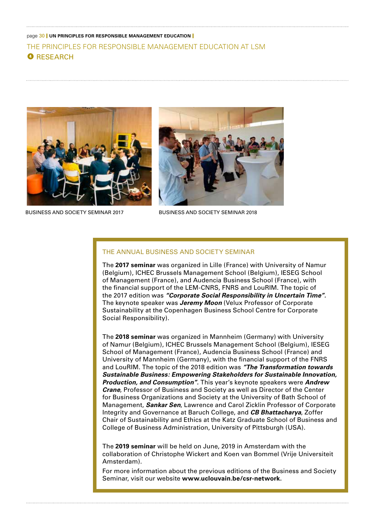# page 30 **I UN Principles for Responsible Management education I** THE PRINCIPLES FOR RESPONSIBLE MANAGEMENT EDUCATION AT LSM **4 RESEARCH**



Business and Society Seminar 2017 Business and Society Seminar 2018



#### The annual Business and Society Seminar

The **2017 seminar** was organized in Lille (France) with University of Namur (Belgium), ICHEC Brussels Management School (Belgium), IESEG School of Management (France), and Audencia Business School (France), with the financial support of the LEM-CNRS, FNRS and LouRIM. The topic of the 2017 edition was *"Corporate Social Responsibility in Uncertain Time".* The keynote speaker was *Jeremy Moon* (Velux Professor of Corporate Sustainability at the Copenhagen Business School Centre for Corporate Social Responsibility).

The **2018 seminar** was organized in Mannheim (Germany) with University of Namur (Belgium), ICHEC Brussels Management School (Belgium), IESEG School of Management (France), Audencia Business School (France) and University of Mannheim (Germany), with the financial support of the FNRS and LouRIM. The topic of the 2018 edition was *"The Transformation towards Sustainable Business: Empowering Stakeholders for Sustainable Innovation, Production, and Consumption".* This year's keynote speakers were *Andrew Crane*, Professor of Business and Society as well as Director of the Center for Business Organizations and Society at the University of Bath School of Management, *Sankar Sen*, Lawrence and Carol Zicklin Professor of Corporate Integrity and Governance at Baruch College, and *CB Bhattacharya*, Zoffer Chair of Sustainability and Ethics at the Katz Graduate School of Business and College of Business Administration, University of Pittsburgh (USA).

The **2019 seminar** will be held on June, 2019 in Amsterdam with the collaboration of Christophe Wickert and Koen van Bommel (Vrije Universiteit Amsterdam).

For more information about the previous editions of the Business and Society Seminar, visit our website **www.uclouvain.be/csr-network.**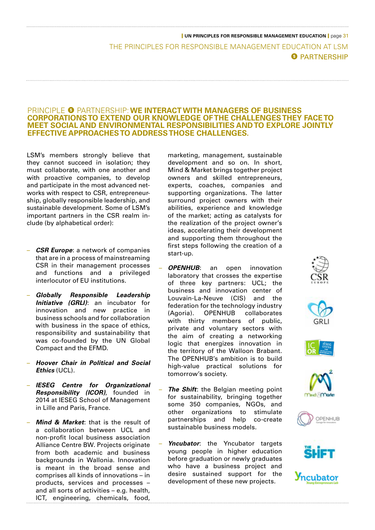THE PRINCIPLES FOR RESPONSIBLE MANAGEMENT EDUCATION AT LSM **6 PARTNERSHIP** 

#### Principle 5 Partnership: **We interact with managers of business corporations to extend our knowledge of the challenges they face to meet social and environmental responsibilities and to explore jointly effective approaches to address those challenges.**

LSM's members strongly believe that they cannot succeed in isolation; they must collaborate, with one another and with proactive companies, to develop and participate in the most advanced networks with respect to CSR, entrepreneurship, globally responsible leadership, and sustainable development. Some of LSM's important partners in the CSR realm include (by alphabetical order):

- *CSR Europe*: a network of companies that are in a process of mainstreaming CSR in their management processes and functions and a privileged interlocutor of EU institutions.
- *Globally Responsible Leadership Initiative (GRLI)*: an incubator for innovation and new practice in business schools and for collaboration with business in the space of ethics, responsibility and sustainability that was co-founded by the UN Global Compact and the EFMD.
- *Hoover Chair in Political and Social Ethics* (UCL).
- *IESEG Centre for Organizational Responsibility (ICOR)*, founded in 2014 at IESEG School of Management in Lille and Paris, France.
- *Mind & Market*: that is the result of a collaboration between UCL and non-profit local business association Alliance Centre BW. Projects originate from both academic and business backgrounds in Wallonia. Innovation is meant in the broad sense and comprises all kinds of innovations – in products, services and processes – and all sorts of activities – e.g. health, ICT, engineering, chemicals, food,

marketing, management, sustainable development and so on. In short, Mind & Market brings together project owners and skilled entrepreneurs, experts, coaches, companies and supporting organizations. The latter surround project owners with their abilities, experience and knowledge of the market; acting as catalysts for the realization of the project owner's ideas, accelerating their development and supporting them throughout the first steps following the creation of a start-up.

- **OPENHUB:** an open innovation laboratory that crosses the expertise of three key partners: UCL; the business and innovation center of Louvain-La-Neuve (CIS) and the federation for the technology industry (Agoria). OPENHUB collaborates with thirty members of public, private and voluntary sectors with the aim of creating a networking logic that energizes innovation in the territory of the Walloon Brabant. The OPENHUB's ambition is to build high-value practical solutions for tomorrow's society.
- *The Shift*: the Belgian meeting point for sustainability, bringing together some 350 companies, NGOs, and other organizations to stimulate partnerships and help co-create sustainable business models.
- Yncubator: the Yncubator targets young people in higher education before graduation or newly graduates who have a business project and desire sustained support for the development of these new projects.













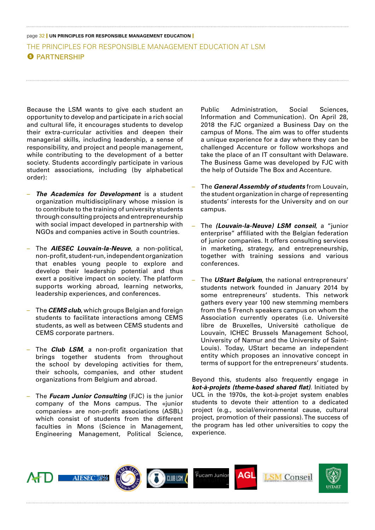#### page 32 **I UN Principles for Responsible Management education I**

# THE PRINCIPLES FOR RESPONSIBLE MANAGEMENT EDUCATION AT LSM **6 PARTNERSHIP**

Because the LSM wants to give each student an opportunity to develop and participate in a rich social and cultural life, it encourages students to develop their extra-curricular activities and deepen their managerial skills, including leadership, a sense of responsibility, and project and people management, while contributing to the development of a better society. Students accordingly participate in various student associations, including (by alphabetical order):

- *The Academics for Development* is a student organization multidisciplinary whose mission is to contribute to the training of university students through consulting projects and entrepreneurship with social impact developed in partnership with NGOs and companies active in South countries.
- The *AIESEC Louvain-la-Neuve*, a non-political, non-profit, student-run, independent organization that enables young people to explore and develop their leadership potential and thus exert a positive impact on society. The platform supports working abroad, learning networks, leadership experiences, and conferences.
- The *CEMS club*, which groups Belgian and foreign students to facilitate interactions among CEMS students, as well as between CEMS students and CEMS corporate partners.
- The *Club LSM*, a non-profit organization that brings together students from throughout the school by developing activities for them, their schools, companies, and other student organizations from Belgium and abroad.
- The *Fucam Junior Consulting* (FJC) is the junior company of the Mons campus. The «junior companies» are non-profit associations (ASBL) which consist of students from the different faculties in Mons (Science in Management, Engineering Management, Political Science,

Public Administration, Social Sciences, Information and Communication). On April 28, 2018 the FJC organized a Business Day on the campus of Mons. The aim was to offer students a unique experience for a day where they can be challenged Accenture or follow workshops and take the place of an IT consultant with Delaware. The Business Game was developed by FJC with the help of Outside The Box and Accenture.

- The *General Assembly of students* from Louvain, the student organization in charge of representing students' interests for the University and on our campus.
- The *(Louvain-la-Neuve) LSM conseil*, a "junior enterprise" affiliated with the Belgian federation of junior companies. It offers consulting services in marketing, strategy, and entrepreneurship, together with training sessions and various conferences.
- The *UStart Belgium*, the national entrepreneurs' students network founded in January 2014 by some entrepreneurs' students. This network gathers every year 100 new stemming members from the 5 French speakers campus on whom the Association currently operates (i.e. Université libre de Bruxelles, Université catholique de Louvain, ICHEC Brussels Management School, University of Namur and the University of Saint-Louis). Today, UStart became an independent entity which proposes an innovative concept in terms of support for the entrepreneurs' students.

Beyond this, students also frequently engage in *kot-à-projets (theme-based shared flat)*. Initiated by UCL in the 1970s, the kot-à-projet system enables students to devote their attention to a dedicated project (e.g., social/environmental cause, cultural project, promotion of their passions). The success of the program has led other universities to copy the experience.

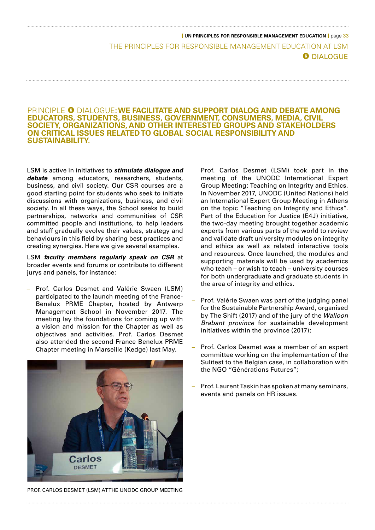The Principles for Responsible Management Education at LSM **6 DIALOGUE** 

#### Principle 6 Dialogue**: We facilitate and support dialog and debate among educators, students, business, government, consumers, media, civil society, organizations, and other interested groups and stakeholders on critical issues related to global social responsibility and sustainability.**

LSM is active in initiatives to *stimulate dialogue and debate* among educators, researchers, students, business, and civil society. Our CSR courses are a good starting point for students who seek to initiate discussions with organizations, business, and civil society. In all these ways, the School seeks to build partnerships, networks and communities of CSR committed people and institutions, to help leaders and staff gradually evolve their values, strategy and behaviours in this field by sharing best practices and creating synergies. Here we give several examples.

LSM *faculty members regularly speak on CSR* at broader events and forums or contribute to different jurys and panels, for instance:

– Prof. Carlos Desmet and Valérie Swaen (LSM) participated to the launch meeting of the France-Benelux PRME Chapter, hosted by Antwerp Management School in November 2017. The meeting lay the foundations for coming up with a vision and mission for the Chapter as well as objectives and activities. Prof. Carlos Desmet also attended the second France Benelux PRME Chapter meeting in Marseille (Kedge) last May.



Prof. Carlos Desmet (LSM) atthe UNODC Group Meeting

Prof. Carlos Desmet (LSM) took part in the meeting of the UNODC International Expert Group Meeting: Teaching on Integrity and Ethics. In November 2017, UNODC (United Nations) held an International Expert Group Meeting in Athens on the topic "Teaching on Integrity and Ethics". Part of the Education for Justice (E4J) initiative, the two-day meeting brought together academic experts from various parts of the world to review and validate draft university modules on integrity and ethics as well as related interactive tools and resources. Once launched, the modules and supporting materials will be used by academics who teach – or wish to teach – university courses for both undergraduate and graduate students in the area of integrity and ethics.

- Prof. Valérie Swaen was part of the judging panel for the Sustainable Partnership Award, organised by The Shift (2017) and of the jury of the *Walloon Brabant province* for sustainable development initiatives within the province (2017);
- Prof. Carlos Desmet was a member of an expert committee working on the implementation of the Sulitest to the Belgian case, in collaboration with the NGO "Générations Futures";
- Prof. Laurent Taskin has spoken at many seminars, events and panels on HR issues.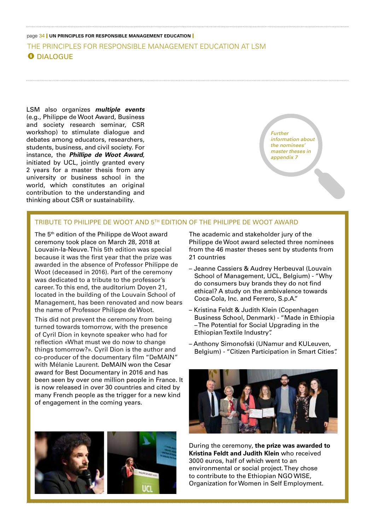#### page 34 **I UN Principles for Responsible Management education I**

The Principles for Responsible Management Education at LSM **<sup>6</sup>** DIALOGUE

LSM also organizes *multiple events* (e.g., Philippe de Woot Award, Business and society research seminar, CSR workshop) to stimulate dialogue and debates among educators, researchers, students, business, and civil society. For instance, the *Phillipe de Woot Award*, initiated by UCL, jointly granted every 2 years for a master thesis from any university or business school in the world, which constitutes an original contribution to the understanding and thinking about CSR or sustainability.

*Further information about the nominees' master theses in appendix 7*

#### Tribute to Philippe de Woot and 5th edition of the Philippe de Woot Award

The 5<sup>th</sup> edition of the Philippe de Woot award ceremony took place on March 28, 2018 at Louvain-la-Neuve. This 5th edition was special because it was the first year that the prize was awarded in the absence of Professor Philippe de Woot (deceased in 2016). Part of the ceremony was dedicated to a tribute to the professor's career. To this end, the auditorium Doyen 21, located in the building of the Louvain School of Management, has been renovated and now bears the name of Professor Philippe de Woot.

This did not prevent the ceremony from being turned towards tomorrow, with the presence of Cyril Dion in keynote speaker who had for reflection «What must we do now to change things tomorrow?». Cyril Dion is the author and co-producer of the documentary film "DeMAIN" with Mélanie Laurent. DeMAIN won the Cesar award for Best Documentary in 2016 and has been seen by over one million people in France. It is now released in over 30 countries and cited by many French people as the trigger for a new kind of engagement in the coming years.



The academic and stakeholder jury of the Philippe de Woot award selected three nominees from the 46 master theses sent by students from 21 countries

- Jeanne Cassiers & Audrey Herbeuval (Louvain School of Management, UCL, Belgium) - "Why do consumers buy brands they do not find ethical? A study on the ambivalence towards Coca-Cola, Inc. and Ferrero, S.p.A."
- Kristina Feldt & Judith Klein (Copenhagen Business School, Denmark) - "Made in Ethiopia – The Potential for Social Upgrading in the Ethiopian Textile Industry".
- Anthony Simonofski (UNamur and KULeuven, Belgium) - "Citizen Participation in Smart Cities".



During the ceremony, **the prize was awarded to Kristina Feldt and Judith Klein** who received 3000 euros, half of which went to an environmental or social project. They chose to contribute to the Ethiopian NGO WISE, Organization for Women in Self Employment.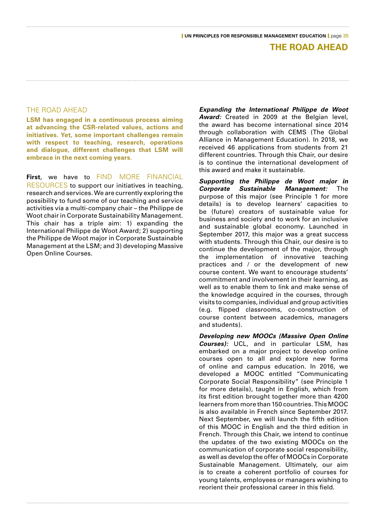#### The road ahead

**LSM has engaged in a continuous process aiming at advancing the CSR-related values, actions and initiatives. Yet, some important challenges remain with respect to teaching, research, operations and dialogue, different challenges that LSM will embrace in the next coming years.** 

**First, we have to FIND MORE FINANCIAL** RESOURCES to support our initiatives in teaching, research and services. We are currently exploring the possibility to fund some of our teaching and service activities via a multi-company chair – the Philippe de Woot chair in Corporate Sustainability Management. This chair has a triple aim: 1) expanding the International Philippe de Woot Award; 2) supporting the Philippe de Woot major in Corporate Sustainable Management at the LSM; and 3) developing Massive Open Online Courses.

*Expanding the International Philippe de Woot Award:* Created in 2009 at the Belgian level, the award has become international since 2014 through collaboration with CEMS (The Global Alliance in Management Education). In 2018, we received 46 applications from students from 21 different countries. Through this Chair, our desire is to continue the international development of this award and make it sustainable.

*Supporting the Philippe de Woot major in Corporate Sustainable Management:* The purpose of this major (see Principle 1 for more details) is to develop learners' capacities to be (future) creators of sustainable value for business and society and to work for an inclusive and sustainable global economy. Launched in September 2017, this major was a great success with students. Through this Chair, our desire is to continue the development of the major, through the implementation of innovative teaching practices and / or the development of new course content. We want to encourage students' commitment and involvement in their learning, as well as to enable them to link and make sense of the knowledge acquired in the courses, through visits to companies, individual and group activities (e.g. flipped classrooms, co-construction of course content between academics, managers and students).

*Developing new MOOCs (Massive Open Online Courses):* UCL, and in particular LSM, has embarked on a major project to develop online courses open to all and explore new forms of online and campus education. In 2016, we developed a MOOC entitled "Communicating Corporate Social Responsibility" (see Principle 1 for more details), taught in English, which from its first edition brought together more than 4200 learners from more than 150 countries. This MOOC is also available in French since September 2017. Next September, we will launch the fifth edition of this MOOC in English and the third edition in French. Through this Chair, we intend to continue the updates of the two existing MOOCs on the communication of corporate social responsibility, as well as develop the offer of MOOCs in Corporate Sustainable Management. Ultimately, our aim is to create a coherent portfolio of courses for young talents, employees or managers wishing to reorient their professional career in this field.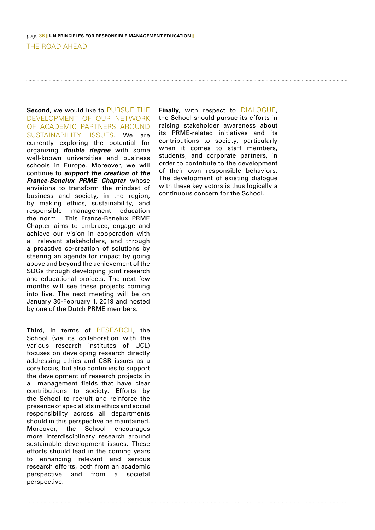**Second**, we would like to PURSUE THE development of our network of academic partners around SUSTAINABILITY ISSUES. We are currently exploring the potential for organizing *double degree* with some well-known universities and business schools in Europe. Moreover, we will continue to *support the creation of the France-Benelux PRME Chapter* whose envisions to transform the mindset of business and society, in the region, by making ethics, sustainability, and responsible management education the norm. This France-Benelux PRME Chapter aims to embrace, engage and achieve our vision in cooperation with all relevant stakeholders, and through a proactive co-creation of solutions by steering an agenda for impact by going above and beyond the achievement of the SDGs through developing joint research and educational projects. The next few months will see these projects coming into live. The next meeting will be on January 30-February 1, 2019 and hosted by one of the Dutch PRME members.

**Third**, in terms of RESEARCH, the School (via its collaboration with the various research institutes of UCL) focuses on developing research directly addressing ethics and CSR issues as a core focus, but also continues to support the development of research projects in all management fields that have clear contributions to society. Efforts by the School to recruit and reinforce the presence of specialists in ethics and social responsibility across all departments should in this perspective be maintained. Moreover, the School encourages more interdisciplinary research around sustainable development issues. These efforts should lead in the coming years to enhancing relevant and serious research efforts, both from an academic perspective and from a societal perspective.

**Finally**, with respect to **DIALOGUE**, the School should pursue its efforts in raising stakeholder awareness about its PRME-related initiatives and its contributions to society, particularly when it comes to staff members, students, and corporate partners, in order to contribute to the development of their own responsible behaviors. The development of existing dialogue with these key actors is thus logically a continuous concern for the School.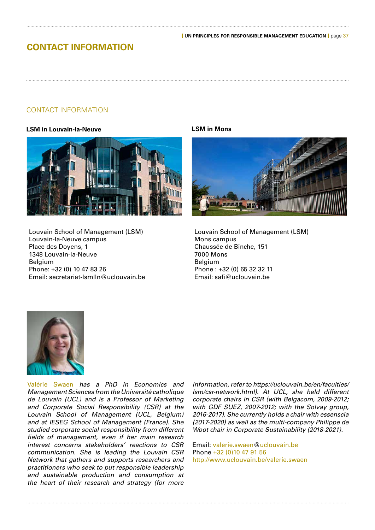# **Contact information**

#### Contact information

#### **LSM in Louvain-la-Neuve LSM in Mons**  LSM in Mons



Louvain School of Management (LSM) Louvain-la-Neuve campus Place des Doyens, 1 1348 Louvain-la-Neuve **Belgium** Phone: +32 (0) 10 47 83 26 Email: secretariat-lsmlln@uclouvain.be



Louvain School of Management (LSM) Mons campus Chaussée de Binche, 151 7000 Mons **Belgium** Phone : +32 (0) 65 32 32 11 Email: safi@uclouvain.be



Valérie Swaen *has a PhD in Economics and Management Sciences from the Université catholique de Louvain (UCL) and is a Professor of Marketing and Corporate Social Responsibility (CSR) at the Louvain School of Management (UCL, Belgium) and at IESEG School of Management (France). She studied corporate social responsibility from different fields of management, even if her main research interest concerns stakeholders' reactions to CSR communication. She is leading the Louvain CSR Network that gathers and supports researchers and practitioners who seek to put responsible leadership and sustainable production and consumption at the heart of their research and strategy (for more* 

*information, refer to https://uclouvain.be/en/faculties/ lsm/csr-network.html). At UCL, she held different corporate chairs in CSR (with Belgacom, 2009-2012; with GDF SUEZ, 2007-2012; with the Solvay group, 2016-2017). She currently holds a chair with essenscia (2017-2020) as well as the multi-company Philippe de Woot chair in Corporate Sustainability (2018-2021).*

Email: valerie.swaen@uclouvain.be Phone +32 (0)10 47 91 56 http://www.uclouvain.be/valerie.swaen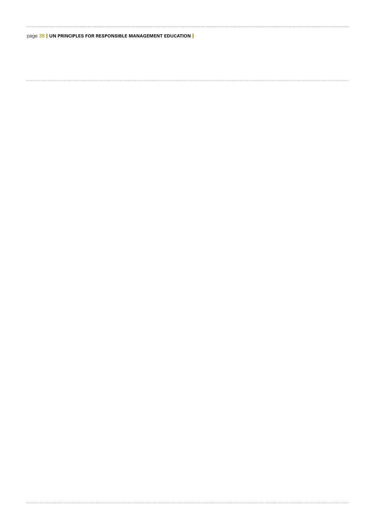page 38 **I UN Principles for Responsible Management education I**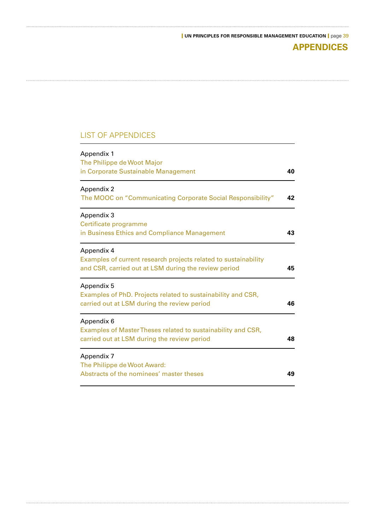# List of appendices

| Appendix 1<br>The Philippe de Woot Major                                                                                              |    |
|---------------------------------------------------------------------------------------------------------------------------------------|----|
| in Corporate Sustainable Management                                                                                                   | 40 |
| Appendix 2<br>The MOOC on "Communicating Corporate Social Responsibility"                                                             | 42 |
| Appendix 3<br>Certificate programme<br>in Business Ethics and Compliance Management                                                   | 43 |
| Appendix 4<br>Examples of current research projects related to sustainability<br>and CSR, carried out at LSM during the review period | 45 |
| Appendix 5<br>Examples of PhD. Projects related to sustainability and CSR,<br>carried out at LSM during the review period             | 46 |
| Appendix 6<br>Examples of Master Theses related to sustainability and CSR,<br>carried out at LSM during the review period             | 48 |
| Appendix 7<br>The Philippe de Woot Award:<br>Abstracts of the nominees' master theses                                                 | 49 |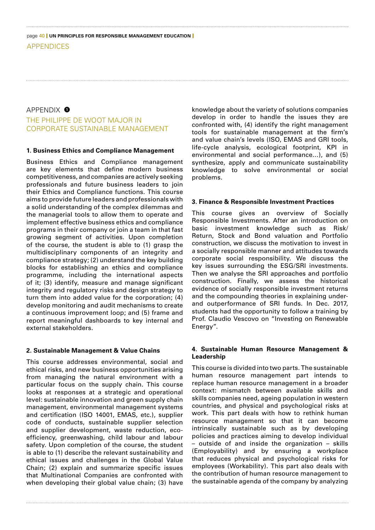# APPENDIX <sup>0</sup>

The Philippe de Woot Major in Corporate Sustainable Management

#### **1. Business Ethics and Compliance Management**

Business Ethics and Compliance management are key elements that define modern business competitiveness, and companies are actively seeking professionals and future business leaders to join their Ethics and Compliance functions. This course aims to provide future leaders and professionals with a solid understanding of the complex dilemmas and the managerial tools to allow them to operate and implement effective business ethics and compliance programs in their company or join a team in that fast growing segment of activities. Upon completion of the course, the student is able to (1) grasp the multidisciplinary components of an integrity and compliance strategy; (2) understand the key building blocks for establishing an ethics and compliance programme, including the international aspects of it; (3) identify, measure and manage significant integrity and regulatory risks and design strategy to turn them into added value for the corporation; (4) develop monitoring and audit mechanisms to create a continuous improvement loop; and (5) frame and report meaningful dashboards to key internal and external stakeholders.

#### **2. Sustainable Management & Value Chains**

This course addresses environmental, social and ethical risks, and new business opportunities arising from managing the natural environment with a particular focus on the supply chain. This course looks at responses at a strategic and operational level: sustainable innovation and green supply chain management, environmental management systems and certification (ISO 14001, EMAS, etc.), supplier code of conducts, sustainable supplier selection and supplier development, waste reduction, ecoefficiency, greenwashing, child labour and labour safety. Upon completion of the course, the student is able to (1) describe the relevant sustainability and ethical issues and challenges in the Global Value Chain; (2) explain and summarize specific issues that Multinational Companies are confronted with when developing their global value chain; (3) have

knowledge about the variety of solutions companies develop in order to handle the issues they are confronted with, (4) identify the right management tools for sustainable management at the firm's and value chain's levels (ISO, EMAS and GRI tools, life-cycle analysis, ecological footprint, KPI in environmental and social performance…), and (5) synthesize, apply and communicate sustainability knowledge to solve environmental or social problems.

#### **3. Finance & Responsible Investment Practices**

This course gives an overview of Socially Responsible Investments. After an introduction on basic investment knowledge such as Risk/ Return, Stock and Bond valuation and Portfolio construction, we discuss the motivation to invest in a socially responsible manner and attitudes towards corporate social responsibility. We discuss the key issues surrounding the ESG/SRI investments. Then we analyse the SRI approaches and portfolio construction. Finally, we assess the historical evidence of socially responsible investment returns and the compounding theories in explaining underand outperformance of SRI funds. In Dec. 2017, students had the opportunity to follow a training by Prof. Claudio Vescovo on "Investing on Renewable Energy".

#### **4. Sustainable Human Resource Management & Leadership**

This course is divided into two parts. The sustainable human resource management part intends to replace human resource management in a broader context: mismatch between available skills and skills companies need, ageing population in western countries, and physical and psychological risks at work. This part deals with how to rethink human resource management so that it can become intrinsically sustainable such as by developing policies and practices aiming to develop individual – outside of and inside the organization – skills (Employability) and by ensuring a workplace that reduces physical and psychological risks for employees (Workability). This part also deals with the contribution of human resource management to the sustainable agenda of the company by analyzing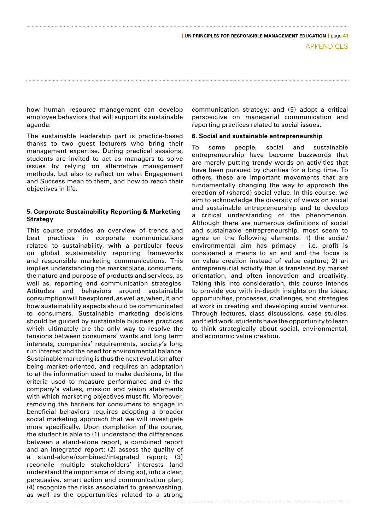how human resource management can develop employee behaviors that will support its sustainable agenda.

The sustainable leadership part is practice-based thanks to two guest lecturers who bring their management expertise. During practical sessions, students are invited to act as managers to solve issues by relying on alternative management methods, but also to reflect on what Engagement and Success mean to them, and how to reach their objectives in life.

#### **5. Corporate Sustainability Reporting & Marketing Strategy**

This course provides an overview of trends and best practices in corporate communications related to sustainability, with a particular focus on global sustainability reporting frameworks and responsible marketing communications. This implies understanding the marketplace, consumers, the nature and purpose of products and services, as well as, reporting and communication strategies. Attitudes and behaviors around sustainable consumption will be explored, as well as, when, if, and how sustainability aspects should be communicated to consumers. Sustainable marketing decisions should be guided by sustainable business practices which ultimately are the only way to resolve the tensions between consumers' wants and long term interests, companies' requirements, society's long run interest and the need for environmental balance. Sustainable marketing is thus the next evolution after being market-oriented, and requires an adaptation to a) the information used to make decisions, b) the criteria used to measure performance and c) the company's values, mission and vision statements with which marketing objectives must fit. Moreover, removing the barriers for consumers to engage in beneficial behaviors requires adopting a broader social marketing approach that we will investigate more specifically. Upon completion of the course, the student is able to (1) understand the differences between a stand-alone report, a combined report and an integrated report; (2) assess the quality of a stand-alone/combined/integrated report; (3) reconcile multiple stakeholders' interests (and understand the importance of doing so), into a clear, persuasive, smart action and communication plan; (4) recognize the risks associated to greenwashing, as well as the opportunities related to a strong

communication strategy; and (5) adopt a critical perspective on managerial communication and reporting practices related to social issues.

#### **6. Social and sustainable entrepreneurship**

To some people, social and sustainable entrepreneurship have become buzzwords that are merely putting trendy words on activities that have been pursued by charities for a long time. To others, these are important movements that are fundamentally changing the way to approach the creation of (shared) social value. In this course, we aim to acknowledge the diversity of views on social and sustainable entrepreneurship and to develop a critical understanding of the phenomenon. Although there are numerous definitions of social and sustainable entrepreneurship, most seem to agree on the following elements: 1) the social/ environmental aim has primacy – i.e. profit is considered a means to an end and the focus is on value creation instead of value capture; 2) an entrepreneurial activity that is translated by market orientation, and often innovation and creativity. Taking this into consideration, this course intends to provide you with in-depth insights on the ideas, opportunities, processes, challenges, and strategies at work in creating and developing social ventures. Through lectures, class discussions, case studies, and field work, students have the opportunity to learn to think strategically about social, environmental, and economic value creation.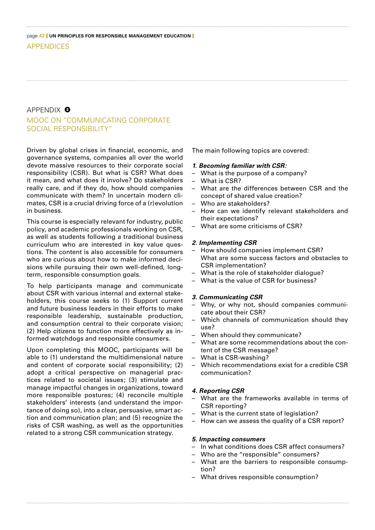# APPENDIX <sup>0</sup>

# MOOC on "Communicating Corporate Social Responsibility"

Driven by global crises in financial, economic, and governance systems, companies all over the world devote massive resources to their corporate social responsibility (CSR). But what is CSR? What does it mean, and what does it involve? Do stakeholders really care, and if they do, how should companies communicate with them? In uncertain modern climates, CSR is a crucial driving force of a (r)evolution in business.

This course is especially relevant for industry, public policy, and academic professionals working on CSR, as well as students following a traditional business curriculum who are interested in key value questions. The content is also accessible for consumers who are curious about how to make informed decisions while pursuing their own well-defined, longterm, responsible consumption goals.

To help participants manage and communicate about CSR with various internal and external stakeholders, this course seeks to (1) Support current and future business leaders in their efforts to make responsible leadership, sustainable production, and consumption central to their corporate vision; (2) Help citizens to function more effectively as informed watchdogs and responsible consumers.

Upon completing this MOOC, participants will be able to (1) understand the multidimensional nature and content of corporate social responsibility; (2) adopt a critical perspective on managerial practices related to societal issues; (3) stimulate and manage impactful changes in organizations, toward more responsible postures; (4) reconcile multiple stakeholders' interests (and understand the importance of doing so), into a clear, persuasive, smart action and communication plan; and (5) recognize the risks of CSR washing, as well as the opportunities related to a strong CSR communication strategy.

The main following topics are covered:

#### *1. Becoming familiar with CSR:*

- What is the purpose of a company?
- What is CSR?
- What are the differences between CSR and the concept of shared value creation?
- Who are stakeholders?
- How can we identify relevant stakeholders and their expectations?
- What are some criticisms of CSR?

#### *2. Implementing CSR*

- How should companies implement CSR? What are some success factors and obstacles to CSR implementation?
- What is the role of stakeholder dialogue?
- What is the value of CSR for business?

#### *3. Communicating CSR*

- Why, or why not, should companies communicate about their CSR?
- Which channels of communication should they use?
- When should they communicate?
- What are some recommendations about the content of the CSR message?
- What is CSR-washing?
- Which recommendations exist for a credible CSR communication?

#### *4. Reporting CSR*

- What are the frameworks available in terms of CSR reporting?
- What is the current state of legislation?
- How can we assess the quality of a CSR report?

#### *5. Impacting consumers*

- In what conditions does CSR affect consumers?
- Who are the "responsible" consumers?
- What are the barriers to responsible consumption?
- What drives responsible consumption?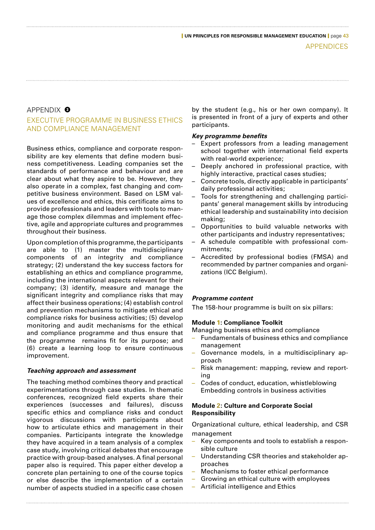# APPENDIX <sup>0</sup>

# Executive programme in Business Ethics and Compliance Management

Business ethics, compliance and corporate responsibility are key elements that define modern business competitiveness. Leading companies set the standards of performance and behaviour and are clear about what they aspire to be. However, they also operate in a complex, fast changing and competitive business environment. Based on LSM values of excellence and ethics, this certificate aims to provide professionals and leaders with tools to manage those complex dilemmas and implement effective, agile and appropriate cultures and programmes throughout their business.

Upon completion of this programme, the participants are able to (1) master the multidisciplinary components of an integrity and compliance strategy; (2) understand the key success factors for establishing an ethics and compliance programme, including the international aspects relevant for their company; (3) identify, measure and manage the significant integrity and compliance risks that may affect their business operations; (4) establish control and prevention mechanisms to mitigate ethical and compliance risks for business activities; (5) develop monitoring and audit mechanisms for the ethical and compliance programme and thus ensure that the programme remains fit for its purpose; and (6) create a learning loop to ensure continuous improvement.

#### *Teaching approach and assessment*

The teaching method combines theory and practical experimentations through case studies. In thematic conferences, recognized field experts share their experiences (successes and failures), discuss specific ethics and compliance risks and conduct vigorous discussions with participants about how to articulate ethics and management in their companies. Participants integrate the knowledge they have acquired in a team analysis of a complex case study, involving critical debates that encourage practice with group-based analyses. A final personal paper also is required. This paper either develop a concrete plan pertaining to one of the course topics or else describe the implementation of a certain number of aspects studied in a specific case chosen

by the student (e.g., his or her own company). It is presented in front of a jury of experts and other participants.

#### *Key programme benefits*

- Expert professors from a leading management school together with international field experts with real-world experience;
- Deeply anchored in professional practice, with highly interactive, practical cases studies;
- Concrete tools, directly applicable in participants' daily professional activities;
- Tools for strengthening and challenging participants' general management skills by introducing ethical leadership and sustainability into decision making;
- Opportunities to build valuable networks with other participants and industry representatives;
- A schedule compatible with professional commitments;
- Accredited by professional bodies (FMSA) and recommended by partner companies and organizations (ICC Belgium).

#### *Programme content*

The 158-hour programme is built on six pillars:

#### **Module 1: Compliance Toolkit**

Managing business ethics and compliance

- Fundamentals of business ethics and compliance management
- Governance models, in a multidisciplinary approach
- Risk management: mapping, review and reporting
- Codes of conduct, education, whistleblowing Embedding controls in business activities

#### **Module 2: Culture and Corporate Social Responsibility**

Organizational culture, ethical leadership, and CSR management

- Key components and tools to establish a responsible culture
- Understanding CSR theories and stakeholder approaches
- Mechanisms to foster ethical performance
- Growing an ethical culture with employees
- Artificial intelligence and Ethics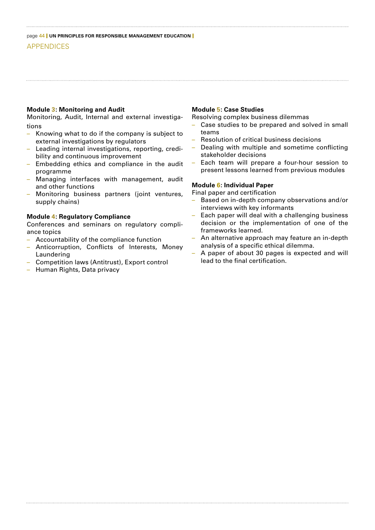# **APPENDICES**

#### **Module 3: Monitoring and Audit**

Monitoring, Audit, Internal and external investigations

- Knowing what to do if the company is subject to external investigations by regulators
- Leading internal investigations, reporting, credibility and continuous improvement
- Embedding ethics and compliance in the audit programme
- Managing interfaces with management, audit and other functions
- Monitoring business partners (joint ventures, supply chains)

#### **Module 4: Regulatory Compliance**

Conferences and seminars on regulatory compliance topics

- Accountability of the compliance function
- Anticorruption, Conflicts of Interests, Money Laundering
- Competition laws (Antitrust), Export control
- Human Rights, Data privacy

#### **Module 5: Case Studies**

Resolving complex business dilemmas

- Case studies to be prepared and solved in small teams
- Resolution of critical business decisions
- Dealing with multiple and sometime conflicting stakeholder decisions
- Each team will prepare a four-hour session to present lessons learned from previous modules

#### **Module 6: Individual Paper**

Final paper and certification

- Based on in-depth company observations and/or interviews with key informants
- Each paper will deal with a challenging business decision or the implementation of one of the frameworks learned.
- An alternative approach may feature an in-depth analysis of a specific ethical dilemma.
- A paper of about 30 pages is expected and will lead to the final certification.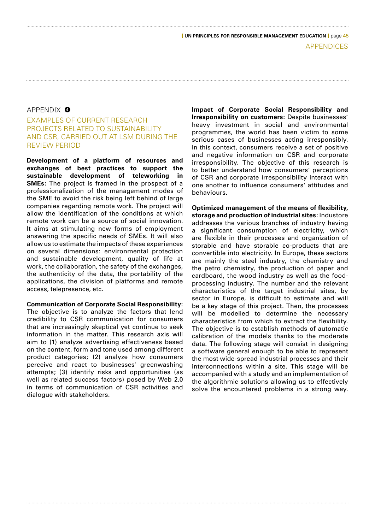# APPENDIX <sup>0</sup>

# Examples of current research projects related to sustainability and CSR, carried out at LSM during the review period

**Development of a platform of resources and exchanges of best practices to support the sustainable development of teleworking in SMEs:** The project is framed in the prospect of a professionalization of the management modes of the SME to avoid the risk being left behind of large companies regarding remote work. The project will allow the identification of the conditions at which remote work can be a source of social innovation. It aims at stimulating new forms of employment answering the specific needs of SMEs. It will also allow us to estimate the impacts of these experiences on several dimensions: environmental protection and sustainable development, quality of life at work, the collaboration, the safety of the exchanges, the authenticity of the data, the portability of the applications, the division of platforms and remote access, telepresence, etc.

#### **Communication of Corporate Social Responsibility:**

The objective is to analyze the factors that lend credibility to CSR communication for consumers that are increasingly skeptical yet continue to seek information in the matter. This research axis will aim to (1) analyze advertising effectiveness based on the content, form and tone used among different product categories; (2) analyze how consumers perceive and react to businesses' greenwashing attempts; (3) identify risks and opportunities (as well as related success factors) posed by Web 2.0 in terms of communication of CSR activities and dialogue with stakeholders.

**Impact of Corporate Social Responsibility and Irresponsibility on customers:** Despite businesses' heavy investment in social and environmental programmes, the world has been victim to some serious cases of businesses acting irresponsibly. In this context, consumers receive a set of positive and negative information on CSR and corporate irresponsibility. The objective of this research is to better understand how consumers' perceptions of CSR and corporate irresponsibility interact with one another to influence consumers' attitudes and behaviours.

**Optimized management of the means of flexibility, storage and production of industrial sites:** Industore addresses the various branches of industry having a significant consumption of electricity, which are flexible in their processes and organization of storable and have storable co-products that are convertible into electricity. In Europe, these sectors are mainly the steel industry, the chemistry and the petro chemistry, the production of paper and cardboard, the wood industry as well as the foodprocessing industry. The number and the relevant characteristics of the target industrial sites, by sector in Europe, is difficult to estimate and will be a key stage of this project. Then, the processes will be modelled to determine the necessary characteristics from which to extract the flexibility. The objective is to establish methods of automatic calibration of the models thanks to the moderate data. The following stage will consist in designing a software general enough to be able to represent the most wide-spread industrial processes and their interconnections within a site. This stage will be accompanied with a study and an implementation of the algorithmic solutions allowing us to effectively solve the encountered problems in a strong way.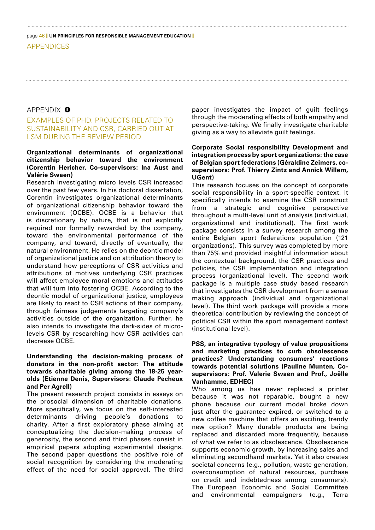# APPENDIX <sup>O</sup>

# Examples of PhD. Projects related to sustainability and CSR, carried out at LSM during the review period

#### **Organizational determinants of organizational citizenship behavior toward the environment (Corentin Hericher, Co-supervisors: Ina Aust and Valérie Swaen)**

Research investigating micro levels CSR increased over the past few years. In his doctoral dissertation, Corentin investigates organizational determinants of organizational citizenship behavior toward the environment (OCBE). OCBE is a behavior that is discretionary by nature, that is not explicitly required nor formally rewarded by the company, toward the environmental performance of the company, and toward, directly of eventually, the natural environment. He relies on the deontic model of organizational justice and on attribution theory to understand how perceptions of CSR activities and attributions of motives underlying CSR practices will affect employee moral emotions and attitudes that will turn into fostering OCBE. According to the deontic model of organizational justice, employees are likely to react to CSR actions of their company, through fairness judgements targeting company's activities outside of the organization. Further, he also intends to investigate the dark-sides of microlevels CSR by researching how CSR activities can decrease OCBE.

#### **Understanding the decision-making process of donators in the non-profit sector: The attitude towards charitable giving among the 18-25 yearolds (Etienne Denis, Supervisors: Claude Pecheux and Per Agrell)**

The present research project consists in essays on the prosocial dimension of charitable donations. More specifically, we focus on the self-interested determinants driving people's donations to charity. After a first exploratory phase aiming at conceptualizing the decision-making process of generosity, the second and third phases consist in empirical papers adopting experimental designs. The second paper questions the positive role of social recognition by considering the moderating effect of the need for social approval. The third

paper investigates the impact of guilt feelings through the moderating effects of both empathy and perspective-taking. We finally investigate charitable giving as a way to alleviate guilt feelings.

#### **Corporate Social responsibility Development and integration process by sport organizations: the case of Belgian sport federations (Géraldine Zeimers, cosupervisors: Prof. Thierry Zintz and Annick Willem, UGent)**

This research focuses on the concept of corporate social responsibility in a sport-specific context. It specifically intends to examine the CSR construct from a strategic and cognitive perspective throughout a multi-level unit of analysis (individual, organizational and institutional). The first work package consists in a survey research among the entire Belgian sport federations population (121 organizations). This survey was completed by more than 75% and provided insightful information about the contextual background, the CSR practices and policies, the CSR implementation and integration process (organizational level). The second work package is a multiple case study based research that investigates the CSR development from a sense making approach (individual and organizational level). The third work package will provide a more theoretical contribution by reviewing the concept of political CSR within the sport management context (institutional level).

#### **PSS, an integrative typology of value propositions and marketing practices to curb obsolescence practices? Understanding consumers' reactions towards potential solutions (Pauline Munten, Cosupervisors: Prof. Valerie Swaen and Prof., Joëlle Vanhamme, EDHEC)**

Who among us has never replaced a printer because it was not reparable, bought a new phone because our current model broke down just after the quarantee expired, or switched to a new coffee machine that offers an exciting, trendy new option? Many durable products are being replaced and discarded more frequently, because of what we refer to as obsolescence. Obsolescence supports economic growth, by increasing sales and eliminating secondhand markets. Yet it also creates societal concerns (e.g., pollution, waste generation, overconsumption of natural resources, purchase on credit and indebtedness among consumers). The European Economic and Social Committee and environmental campaigners (e.g., Terra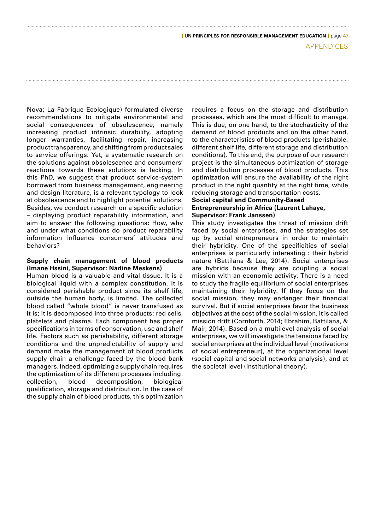Nova; La Fabrique Ecologique) formulated diverse recommendations to mitigate environmental and social consequences of obsolescence, namely increasing product intrinsic durability, adopting longer warranties, facilitating repair, increasing product transparency, and shifting from product sales to service offerings. Yet, a systematic research on the solutions against obsolescence and consumers' reactions towards these solutions is lacking. In this PhD, we suggest that product service-system borrowed from business management, engineering and design literature, is a relevant typology to look at obsolescence and to highlight potential solutions. Besides, we conduct research on a specific solution – displaying product reparability information, and aim to answer the following questions: How, why and under what conditions do product reparability information influence consumers' attitudes and behaviors?

#### **Supply chain management of blood products (Imane Hssini, Supervisor: Nadine Meskens)**

Human blood is a valuable and vital tissue. It is a biological liquid with a complex constitution. It is considered perishable product since its shelf life, outside the human body, is limited. The collected blood called "whole blood" is never transfused as it is; it is decomposed into three products: red cells, platelets and plasma. Each component has proper specifications in terms of conservation, use and shelf life. Factors such as perishability, different storage conditions and the unpredictability of supply and demand make the management of blood products supply chain a challenge faced by the blood bank managers. Indeed, optimizing a supply chain requires the optimization of its different processes including: collection, blood decomposition, biological qualification, storage and distribution. In the case of the supply chain of blood products, this optimization

requires a focus on the storage and distribution processes, which are the most difficult to manage. This is due, on one hand, to the stochasticity of the demand of blood products and on the other hand, to the characteristics of blood products (perishable, different shelf life, different storage and distribution conditions). To this end, the purpose of our research project is the simultaneous optimization of storage and distribution processes of blood products. This optimization will ensure the availability of the right product in the right quantity at the right time, while reducing storage and transportation costs.

#### **Social capital and Community-Based Entrepreneurship in Africa (Laurent Lahaye, Supervisor: Frank Janssen)**

This study investigates the threat of mission drift faced by social enterprises, and the strategies set up by social entrepreneurs in order to maintain their hybridity. One of the specificities of social enterprises is particularly interesting : their hybrid nature (Battilana & Lee, 2014). Social enterprises are hybrids because they are coupling a social mission with an economic activity. There is a need to study the fragile equilibrium of social enterprises maintaining their hybridity. If they focus on the social mission, they may endanger their financial survival. But if social enterprises favor the business objectives at the cost of the social mission, it is called mission drift (Cornforth, 2014; Ebrahim, Battilana, & Mair, 2014). Based on a multilevel analysis of social enterprises, we will investigate the tensions faced by social enterprises at the individual level (motivations of social entrepreneur), at the organizational level (social capital and social networks analysis), and at the societal level (institutional theory).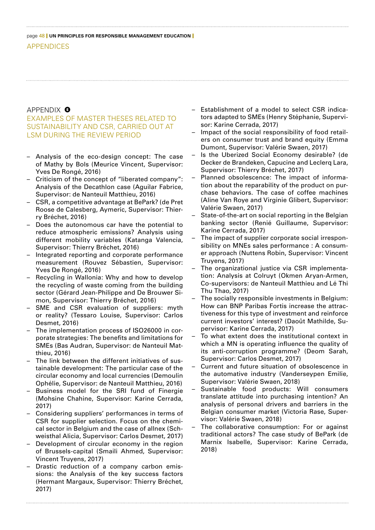# APPENDIX <sup>O</sup>

Examples of Master Theses related to sustainability and CSR, carried out at LSM during the review period

- Analysis of the eco-design concept: The case of Mathy by Bols (Meurice Vincent, Supervisor: Yves De Rongé, 2016)
- Criticism of the concept of "liberated company": Analysis of the Decathlon case (Aguilar Fabrice, Supervisor: de Nanteuil Matthieu, 2016)
- CSR, a competitive advantage at BePark? (de Pret Roose de Calesberg, Aymeric, Supervisor: Thierry Bréchet, 2016)
- Does the autonomous car have the potential to reduce atmospheric emissions? Analysis using different mobility variables (Katanga Valencia, Supervisor: Thierry Bréchet, 2016)
- Integrated reporting and corporate performance measurement (Rouvez Sébastien, Supervisor: Yves De Rongé, 2016)
- Recycling in Wallonia: Why and how to develop the recycling of waste coming from the building sector (Gérard Jean-Philippe and De Brouwer Simon, Supervisor: Thierry Bréchet, 2016)
- SME and CSR evaluation of suppliers: myth or reality? (Tessaro Louise, Supervisor: Carlos Desmet, 2016)
- The implementation process of ISO26000 in corporate strategies: The benefits and limitations for SMEs (Bas Audran, Supervisor: de Nanteuil Matthieu, 2016)
- The link between the different initiatives of sustainable development: The particular case of the circular economy and local currencies (Demoulin Ophélie, Supervisor: de Nanteuil Matthieu, 2016)
- Business model for the SRI fund of Finergie (Mohsine Chahine, Supervisor: Karine Cerrada, 2017)
- Considering suppliers' performances in terms of CSR for supplier selection. Focus on the chemical sector in Belgium and the case of allnex (Schweisthal Alicia, Supervisor: Carlos Desmet, 2017)
- Development of circular economy in the region of Brussels-capital (Smaili Ahmed, Supervisor: Vincent Truyens, 2017)
- Drastic reduction of a company carbon emissions: the Analysis of the key success factors (Hermant Margaux, Supervisor: Thierry Bréchet, 2017)
- Establishment of a model to select CSR indicators adapted to SMEs (Henry Stéphanie, Supervisor: Karine Cerrada, 2017)
- Impact of the social responsibility of food retailers on consumer trust and brand equity (Emma Dumont, Supervisor: Valérie Swaen, 2017)
- Is the Uberized Social Economy desirable? (de Decker de Brandeken, Capucine and Leclerq Lara, Supervisor: Thierry Bréchet, 2017)
- Planned obsolescence: The impact of information about the reparability of the product on purchase behaviors. The case of coffee machines (Aline Van Roye and Virginie Glibert, Supervisor: Valérie Swaen, 2017)
- State-of-the-art on social reporting in the Belgian banking sector (Renié Guillaume, Supervisor: Karine Cerrada, 2017)
- The impact of supplier corporate social irresponsibility on MNEs sales performance : A consumer approach (Nuttens Robin, Supervisor: Vincent Truyens, 2017)
- The organizational justice via CSR implementation: Analysis at Colruyt (Okmen Aryan-Armen, Co-supervisors: de Nanteuil Matthieu and Lé Thi Thu Thao, 2017)
- The socially responsible investments in Belgium: How can BNP Paribas Fortis increase the attractiveness for this type of investment and reinforce current investors' interest? (Daoût Mathilde, Supervisor: Karine Cerrada, 2017)
- To what extent does the institutional context in which a MN is operating influence the quality of its anti-corruption programme? (Deom Sarah, Supervisor: Carlos Desmet, 2017)
- Current and future situation of obsolescence in the automative industry (Vanderseypen Emilie, Supervisor: Valérie Swaen, 2018)
- Sustainable food products: Will consumers translate attitude into purchasing intention? An analysis of personal drivers and barriers in the Belgian consumer market (Victoria Rase, Supervisor: Valérie Swaen, 2018)
- The collaborative consumption: For or against traditional actors? The case study of BePark (de Marnix Isabelle, Supervisor: Karine Cerrada, 2018)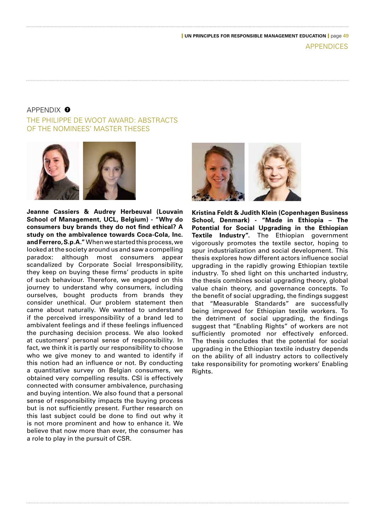**I UN Principles for Responsible Management education I** page 49 **APPENDICES** 

#### APPENDIX <sup>0</sup>

The Philippe de Woot Award: Abstracts of the nominees' master theses



**Jeanne Cassiers & Audrey Herbeuval (Louvain School of Management, UCL, Belgium) - "Why do consumers buy brands they do not find ethical? A study on the ambivalence towards Coca-Cola, Inc. and Ferrero, S.p.A."** When we started this process, we looked at the society around us and saw a compelling paradox: although most consumers appear scandalized by Corporate Social Irresponsibility, they keep on buying these firms' products in spite of such behaviour. Therefore, we engaged on this journey to understand why consumers, including ourselves, bought products from brands they consider unethical. Our problem statement then came about naturally. We wanted to understand if the perceived irresponsibility of a brand led to ambivalent feelings and if these feelings influenced the purchasing decision process. We also looked at customers' personal sense of responsibility. In fact, we think it is partly our responsibility to choose who we give money to and wanted to identify if this notion had an influence or not. By conducting a quantitative survey on Belgian consumers, we obtained very compelling results. CSI is effectively connected with consumer ambivalence, purchasing and buying intention. We also found that a personal sense of responsibility impacts the buying process but is not sufficiently present. Further research on this last subject could be done to find out why it is not more prominent and how to enhance it. We believe that now more than ever, the consumer has a role to play in the pursuit of CSR.



**Kristina Feldt & Judith Klein (Copenhagen Business School, Denmark) - "Made in Ethiopia – The Potential for Social Upgrading in the Ethiopian Textile Industry".** The Ethiopian government vigorously promotes the textile sector, hoping to spur industrialization and social development. This thesis explores how different actors influence social upgrading in the rapidly growing Ethiopian textile industry. To shed light on this uncharted industry, the thesis combines social upgrading theory, global value chain theory, and governance concepts. To the benefit of social upgrading, the findings suggest that "Measurable Standards" are successfully being improved for Ethiopian textile workers. To the detriment of social upgrading, the findings suggest that "Enabling Rights" of workers are not sufficiently promoted nor effectively enforced. The thesis concludes that the potential for social upgrading in the Ethiopian textile industry depends on the ability of all industry actors to collectively take responsibility for promoting workers' Enabling Rights.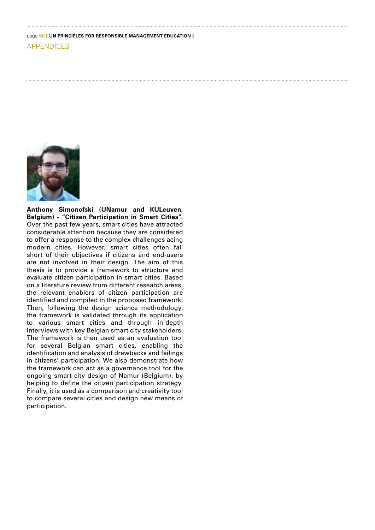page 50 **I UN Principles for Responsible Management education I APPENDICES** 



**Anthony Simonofski (UNamur and KULeuven, Belgium) - "Citizen Participation in Smart Cities".**  Over the past few years, smart cities have attracted considerable attention because they are considered to offer a response to the complex challenges acing modern cities. However, smart cities often fall short of their objectives if citizens and end-users are not involved in their design. The aim of this thesis is to provide a framework to structure and evaluate citizen participation in smart cities. Based on a literature review from different research areas, the relevant enablers of citizen participation are identified and compiled in the proposed framework. Then, following the design science methodology, the framework is validated through its application to various smart cities and through in-depth interviews with key Belgian smart city stakeholders. The framework is then used as an evaluation tool for several Belgian smart cities, enabling the identification and analysis of drawbacks and failings in citizens' participation. We also demonstrate how the framework can act as a governance tool for the ongoing smart city design of Namur (Belgium), by helping to define the citizen participation strategy. Finally, it is used as a comparison and creativity tool to compare several cities and design new means of participation.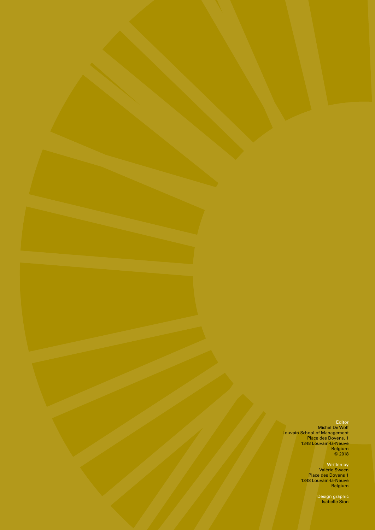Editor Michel De Wolf Louvain School of Management Place des Doyens, 1 1348 Louvain-la-Neuve Belgium © 2018

> Written by Valérie Swaen Place des Doyens 1 1348 Louvain-la-Neuve Belgium

> > Design graphic Isabelle Sion